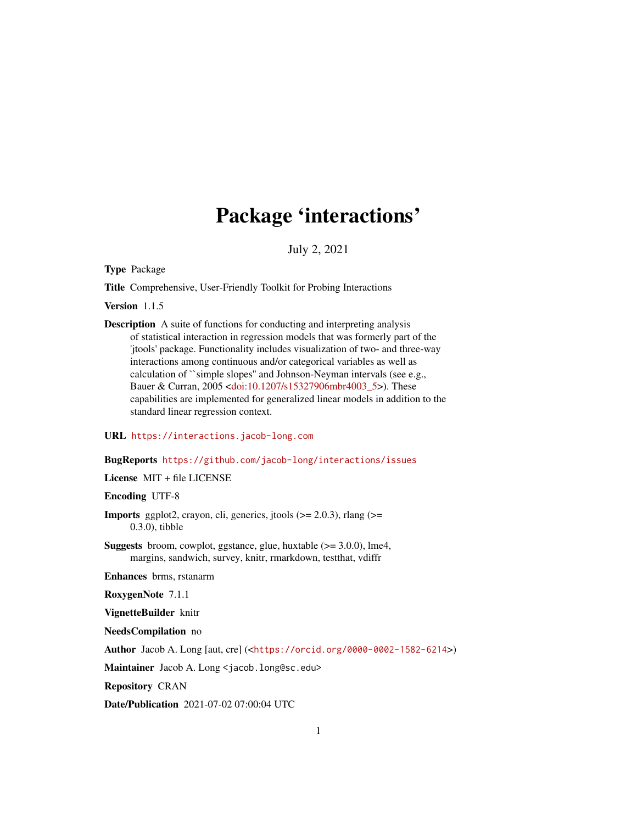# Package 'interactions'

July 2, 2021

<span id="page-0-0"></span>Type Package

Title Comprehensive, User-Friendly Toolkit for Probing Interactions

Version 1.1.5

Description A suite of functions for conducting and interpreting analysis of statistical interaction in regression models that was formerly part of the 'jtools' package. Functionality includes visualization of two- and three-way interactions among continuous and/or categorical variables as well as calculation of ``simple slopes'' and Johnson-Neyman intervals (see e.g., Bauer & Curran, 2005 [<doi:10.1207/s15327906mbr4003\\_5>](https://doi.org/10.1207/s15327906mbr4003_5)). These capabilities are implemented for generalized linear models in addition to the standard linear regression context.

URL <https://interactions.jacob-long.com>

# BugReports <https://github.com/jacob-long/interactions/issues>

License MIT + file LICENSE

Encoding UTF-8

- **Imports** ggplot2, crayon, cli, generics, jtools  $(>= 2.0.3)$ , rlang  $(>=$ 0.3.0), tibble
- **Suggests** broom, cowplot, ggstance, glue, huxtable  $(>= 3.0.0)$ , lme4, margins, sandwich, survey, knitr, rmarkdown, testthat, vdiffr

Enhances brms, rstanarm

RoxygenNote 7.1.1

VignetteBuilder knitr

NeedsCompilation no

Author Jacob A. Long [aut, cre] (<<https://orcid.org/0000-0002-1582-6214>>)

Maintainer Jacob A. Long <jacob.long@sc.edu>

Repository CRAN

Date/Publication 2021-07-02 07:00:04 UTC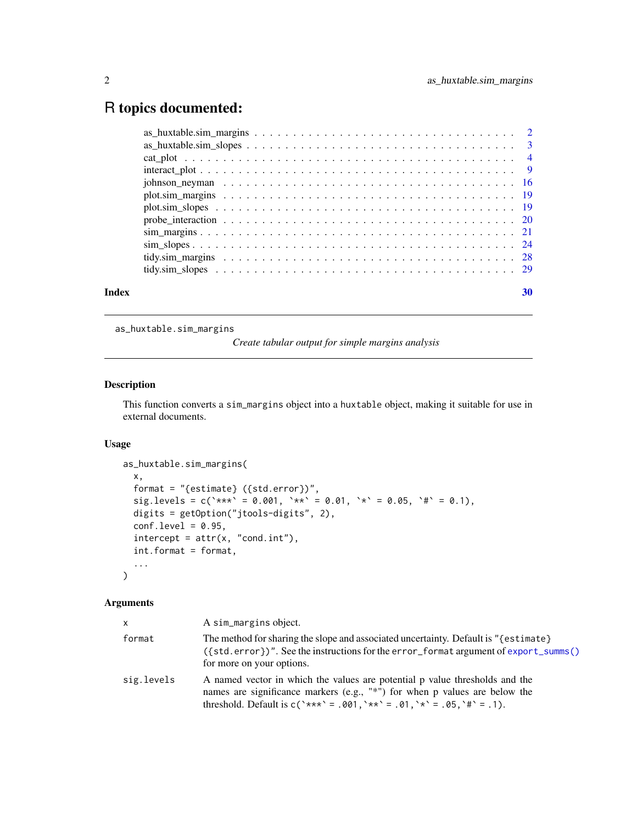# <span id="page-1-0"></span>R topics documented:

|       | $interact\_plot \dots \dots \dots \dots \dots \dots \dots \dots \dots \dots \dots \dots \dots \dots \dots \dots \dots$ |    |
|-------|------------------------------------------------------------------------------------------------------------------------|----|
|       |                                                                                                                        |    |
|       |                                                                                                                        |    |
|       |                                                                                                                        |    |
|       |                                                                                                                        |    |
|       |                                                                                                                        |    |
|       |                                                                                                                        |    |
|       |                                                                                                                        |    |
|       |                                                                                                                        |    |
| Index |                                                                                                                        | 30 |

as\_huxtable.sim\_margins

*Create tabular output for simple margins analysis*

# Description

This function converts a sim\_margins object into a huxtable object, making it suitable for use in external documents.

#### Usage

```
as_huxtable.sim_margins(
 x,
 format = "{estimate} ({std.error})",
 sig. levels = c('***' = 0.001, '**' = 0.01, '** = 0.05, '#' = 0.1),digits = getOption("jtools-digits", 2),
 conf.level = 0.95,intercept = attr(x, "cond.int"),int.format = format,
  ...
\mathcal{L}
```

| $\mathsf{x}$ | A sim_margins object.                                                                                                                                                                                                                     |
|--------------|-------------------------------------------------------------------------------------------------------------------------------------------------------------------------------------------------------------------------------------------|
| format       | The method for sharing the slope and associated uncertainty. Default is "{estimate}<br>$({\{\text{std}.\text{error}\}})$ ". See the instructions for the error_format argument of export_summs()<br>for more on your options.             |
| sig.levels   | A named vector in which the values are potential p value thresholds and the<br>names are significance markers (e.g., "*") for when $p$ values are below the<br>threshold. Default is $c('***' = .001, '**' = .01, '*' = .05, '#' = .1)$ . |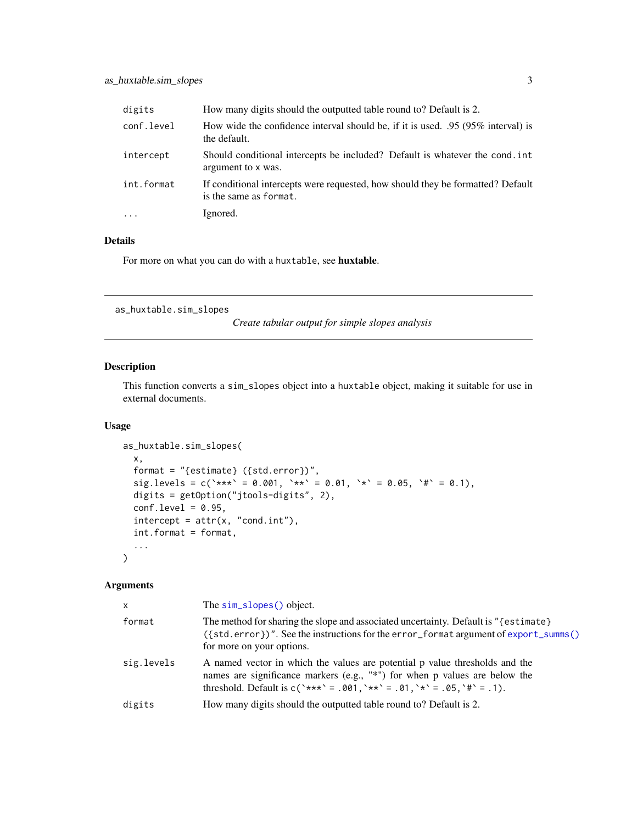<span id="page-2-0"></span>

| digits     | How many digits should the outputted table round to? Default is 2.                                        |
|------------|-----------------------------------------------------------------------------------------------------------|
| conf.level | How wide the confidence interval should be, if it is used. .95 (95% interval) is<br>the default.          |
| intercept  | Should conditional intercepts be included? Default is whatever the cond. int<br>argument to x was.        |
| int.format | If conditional intercepts were requested, how should they be formatted? Default<br>is the same as format. |
| $\ddots$ . | Ignored.                                                                                                  |

For more on what you can do with a huxtable, see huxtable.

```
as_huxtable.sim_slopes
```
*Create tabular output for simple slopes analysis*

# Description

This function converts a sim\_slopes object into a huxtable object, making it suitable for use in external documents.

# Usage

```
as_huxtable.sim_slopes(
  x,
  format = "{estimate} ({std.error})",
  sig.levels = c(`***` = 0.001, `**` = 0.01, `*` = 0.05, `#` = 0.1),
  digits = getOption("jtools-digits", 2),
  conf. level = 0.95,intercept = attr(x, "cond.int"),int.format = format,
  ...
\mathcal{L}
```

| X.         | The sim_slopes() object.                                                                                                                                                                                                                |
|------------|-----------------------------------------------------------------------------------------------------------------------------------------------------------------------------------------------------------------------------------------|
| format     | The method for sharing the slope and associated uncertainty. Default is "{estimate}<br>({std.error})". See the instructions for the error_format argument of export_summs()<br>for more on your options.                                |
| sig.levels | A named vector in which the values are potential p value thresholds and the<br>names are significance markers (e.g., "*") for when p values are below the<br>threshold. Default is $c('***' = .001, '**' = .01, '*' = .05, '#' = .1)$ . |
| digits     | How many digits should the outputted table round to? Default is 2.                                                                                                                                                                      |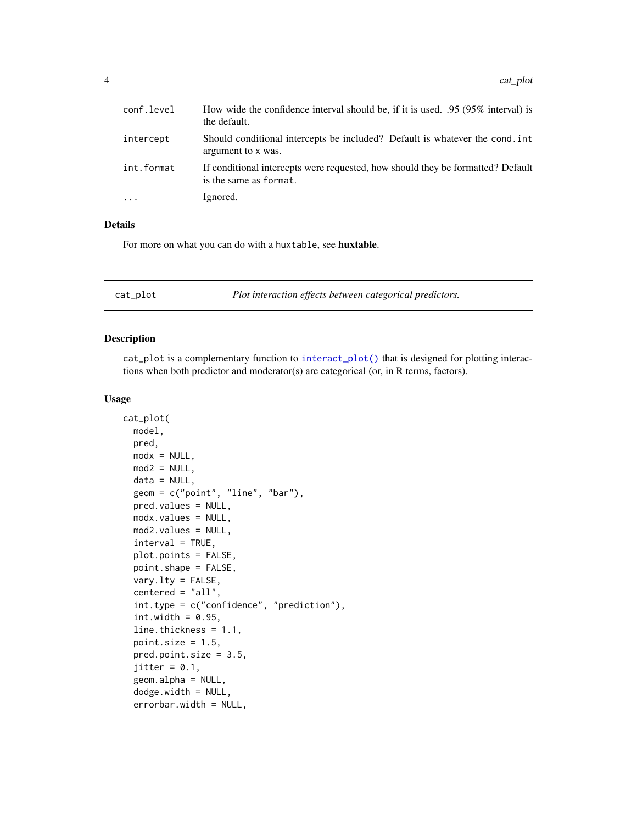<span id="page-3-0"></span>

| conf.level | How wide the confidence interval should be, if it is used. .95 (95% interval) is<br>the default.          |
|------------|-----------------------------------------------------------------------------------------------------------|
| intercept  | Should conditional intercepts be included? Default is whatever the cond. int<br>argument to x was.        |
| int.format | If conditional intercepts were requested, how should they be formatted? Default<br>is the same as format. |
|            | Ignored.                                                                                                  |

For more on what you can do with a huxtable, see huxtable.

| Plot interaction effects between categorical predictors.<br>cat_plot |  |
|----------------------------------------------------------------------|--|
|----------------------------------------------------------------------|--|

# Description

cat\_plot is a complementary function to [interact\\_plot\(\)](#page-8-1) that is designed for plotting interactions when both predictor and moderator(s) are categorical (or, in R terms, factors).

#### Usage

```
cat_plot(
 model,
 pred,
 modx = NULL,mod2 = NULL,data = NULL,geom = c("point", "line", "bar"),
  pred.values = NULL,
 modx.values = NULL,
 mod2.values = NULL,
  interval = TRUE,
  plot.points = FALSE,
  point.shape = FALSE,
  vary.lty = FALSE,
  centered = "all",int.type = c("confidence", "prediction"),
  int.width = 0.95,
  line.thickness = 1.1,
  point.size = 1.5,
  pred.point.size = 3.5,
  jitter = 0.1,
  geom.alpha = NULL,
  dodge.width = NULL,
  errorbar.width = NULL,
```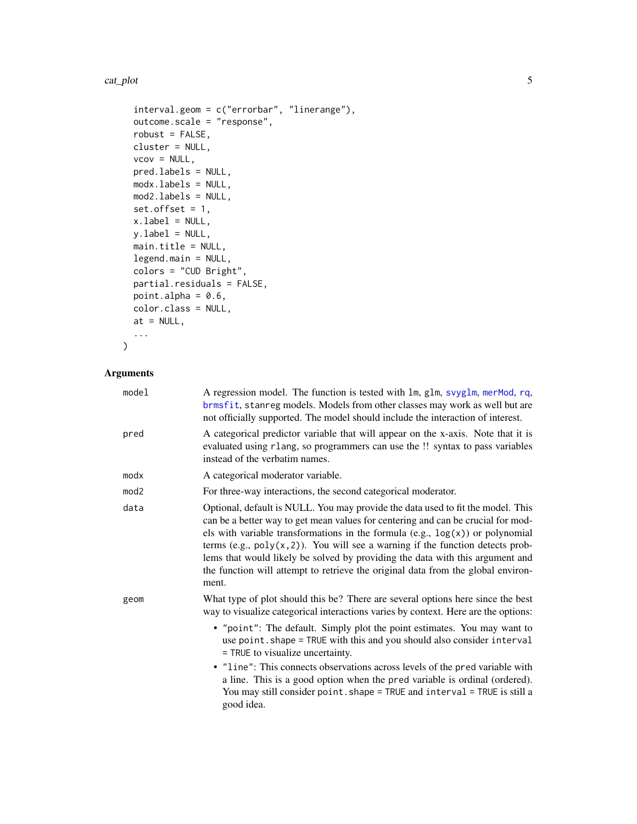#### <span id="page-4-0"></span>cat\_plot 5

```
interval.geom = c("errorbar", "linerange"),
 outcome.scale = "response",
 robust = FALSE,cluster = NULL,
 vcov = NULL,pred.labels = NULL,
 modx.labels = NULL,
 mod2.labels = NULL,
 set.offset = 1,
 xu.label = NULL,
 y.label = NULL,
 main.title = NULL,
 legend.main = NULL,
 colors = "CUD Bright",
 partial.residuals = FALSE,
 point.alpha = 0.6,
 color.class = NULL,
 at = NULL,...
\mathcal{L}
```

| model | A regression model. The function is tested with lm, glm, svyglm, merMod, rq,<br>brmsfit, stanreg models. Models from other classes may work as well but are<br>not officially supported. The model should include the interaction of interest.                                                                                                                                                                                                                                                                            |
|-------|---------------------------------------------------------------------------------------------------------------------------------------------------------------------------------------------------------------------------------------------------------------------------------------------------------------------------------------------------------------------------------------------------------------------------------------------------------------------------------------------------------------------------|
| pred  | A categorical predictor variable that will appear on the x-axis. Note that it is<br>evaluated using rlang, so programmers can use the !! syntax to pass variables<br>instead of the verbatim names.                                                                                                                                                                                                                                                                                                                       |
| modx  | A categorical moderator variable.                                                                                                                                                                                                                                                                                                                                                                                                                                                                                         |
| mod2  | For three-way interactions, the second categorical moderator.                                                                                                                                                                                                                                                                                                                                                                                                                                                             |
| data  | Optional, default is NULL. You may provide the data used to fit the model. This<br>can be a better way to get mean values for centering and can be crucial for mod-<br>els with variable transformations in the formula $(e.g., log(x))$ or polynomial<br>terms (e.g., $poly(x, 2)$ ). You will see a warning if the function detects prob-<br>lems that would likely be solved by providing the data with this argument and<br>the function will attempt to retrieve the original data from the global environ-<br>ment. |
| geom  | What type of plot should this be? There are several options here since the best<br>way to visualize categorical interactions varies by context. Here are the options:                                                                                                                                                                                                                                                                                                                                                     |
|       | • "point": The default. Simply plot the point estimates. You may want to<br>use point. shape = TRUE with this and you should also consider interval<br>= TRUE to visualize uncertainty.                                                                                                                                                                                                                                                                                                                                   |
|       | • "line": This connects observations across levels of the pred variable with<br>a line. This is a good option when the pred variable is ordinal (ordered).<br>You may still consider point. shape = TRUE and interval = TRUE is still a<br>good idea.                                                                                                                                                                                                                                                                     |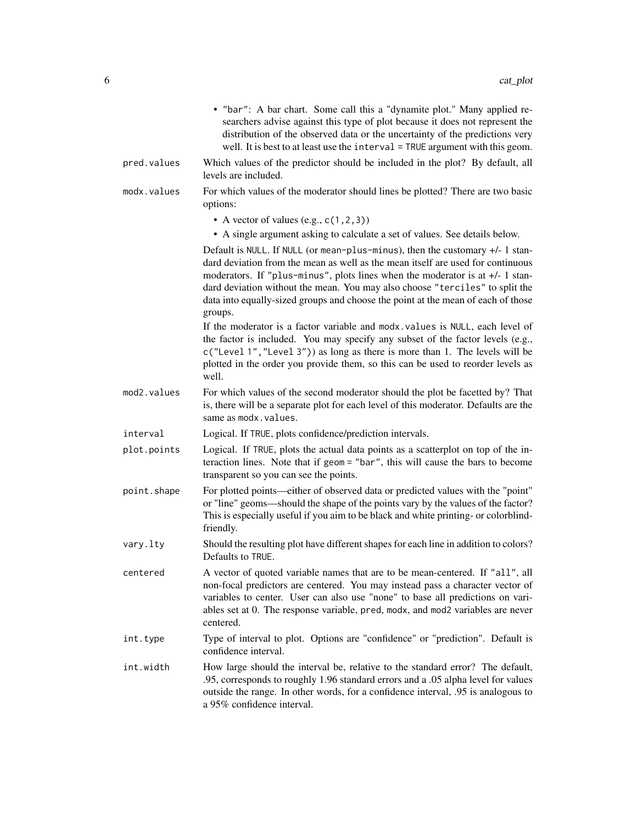|             | • "bar": A bar chart. Some call this a "dynamite plot." Many applied re-<br>searchers advise against this type of plot because it does not represent the<br>distribution of the observed data or the uncertainty of the predictions very<br>well. It is best to at least use the $interval = TRUE$ argument with this geom.                                                                                                         |
|-------------|-------------------------------------------------------------------------------------------------------------------------------------------------------------------------------------------------------------------------------------------------------------------------------------------------------------------------------------------------------------------------------------------------------------------------------------|
| pred.values | Which values of the predictor should be included in the plot? By default, all<br>levels are included.                                                                                                                                                                                                                                                                                                                               |
| modx.values | For which values of the moderator should lines be plotted? There are two basic<br>options:                                                                                                                                                                                                                                                                                                                                          |
|             | • A vector of values (e.g., $c(1, 2, 3)$ )<br>• A single argument asking to calculate a set of values. See details below.                                                                                                                                                                                                                                                                                                           |
|             | Default is NULL. If NULL (or mean-plus-minus), then the customary $+/- 1$ stan-<br>dard deviation from the mean as well as the mean itself are used for continuous<br>moderators. If "plus-minus", plots lines when the moderator is at $+/-1$ stan-<br>dard deviation without the mean. You may also choose "terciles" to split the<br>data into equally-sized groups and choose the point at the mean of each of those<br>groups. |
|             | If the moderator is a factor variable and modx. values is NULL, each level of<br>the factor is included. You may specify any subset of the factor levels (e.g.,<br>c("Level 1", "Level 3")) as long as there is more than 1. The levels will be<br>plotted in the order you provide them, so this can be used to reorder levels as<br>well.                                                                                         |
| mod2.values | For which values of the second moderator should the plot be facetted by? That<br>is, there will be a separate plot for each level of this moderator. Defaults are the<br>same as modx.values.                                                                                                                                                                                                                                       |
| interval    | Logical. If TRUE, plots confidence/prediction intervals.                                                                                                                                                                                                                                                                                                                                                                            |
| plot.points | Logical. If TRUE, plots the actual data points as a scatterplot on top of the in-<br>teraction lines. Note that if geom = "bar", this will cause the bars to become<br>transparent so you can see the points.                                                                                                                                                                                                                       |
| point.shape | For plotted points—either of observed data or predicted values with the "point"<br>or "line" geoms—should the shape of the points vary by the values of the factor?<br>This is especially useful if you aim to be black and white printing- or colorblind-<br>friendly.                                                                                                                                                             |
| vary.lty    | Should the resulting plot have different shapes for each line in addition to colors?<br>Defaults to TRUE.                                                                                                                                                                                                                                                                                                                           |
| centered    | A vector of quoted variable names that are to be mean-centered. If "all", all<br>non-focal predictors are centered. You may instead pass a character vector of<br>variables to center. User can also use "none" to base all predictions on vari-<br>ables set at 0. The response variable, pred, modx, and mod2 variables are never<br>centered.                                                                                    |
| int.type    | Type of interval to plot. Options are "confidence" or "prediction". Default is<br>confidence interval.                                                                                                                                                                                                                                                                                                                              |
| int.width   | How large should the interval be, relative to the standard error? The default,<br>.95, corresponds to roughly 1.96 standard errors and a .05 alpha level for values<br>outside the range. In other words, for a confidence interval, .95 is analogous to<br>a 95% confidence interval.                                                                                                                                              |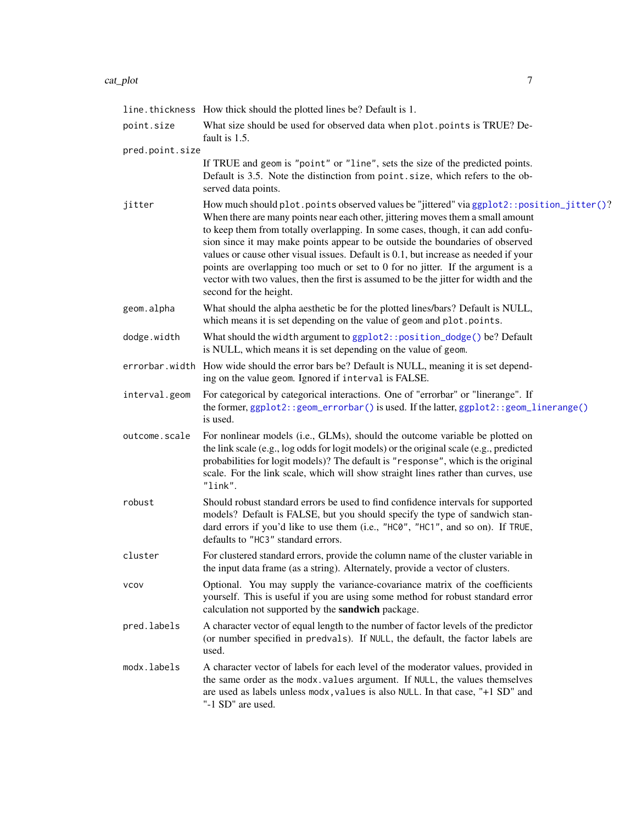#### <span id="page-6-0"></span>cat\_plot 7

|                 | line. thickness How thick should the plotted lines be? Default is 1.                                                                                                                                                                                                                                                                                                                                                                                                                                                                                                                                                                         |
|-----------------|----------------------------------------------------------------------------------------------------------------------------------------------------------------------------------------------------------------------------------------------------------------------------------------------------------------------------------------------------------------------------------------------------------------------------------------------------------------------------------------------------------------------------------------------------------------------------------------------------------------------------------------------|
|                 |                                                                                                                                                                                                                                                                                                                                                                                                                                                                                                                                                                                                                                              |
| point.size      | What size should be used for observed data when plot.points is TRUE? De-<br>fault is 1.5.                                                                                                                                                                                                                                                                                                                                                                                                                                                                                                                                                    |
| pred.point.size |                                                                                                                                                                                                                                                                                                                                                                                                                                                                                                                                                                                                                                              |
|                 | If TRUE and geom is "point" or "line", sets the size of the predicted points.<br>Default is 3.5. Note the distinction from point size, which refers to the ob-<br>served data points.                                                                                                                                                                                                                                                                                                                                                                                                                                                        |
| jitter          | How much should plot.points observed values be "jittered" via ggplot2::position_jitter()?<br>When there are many points near each other, jittering moves them a small amount<br>to keep them from totally overlapping. In some cases, though, it can add confu-<br>sion since it may make points appear to be outside the boundaries of observed<br>values or cause other visual issues. Default is 0.1, but increase as needed if your<br>points are overlapping too much or set to 0 for no jitter. If the argument is a<br>vector with two values, then the first is assumed to be the jitter for width and the<br>second for the height. |
| geom.alpha      | What should the alpha aesthetic be for the plotted lines/bars? Default is NULL,<br>which means it is set depending on the value of geom and plot.points.                                                                                                                                                                                                                                                                                                                                                                                                                                                                                     |
| dodge.width     | What should the width argument to ggplot2:: position_dodge() be? Default<br>is NULL, which means it is set depending on the value of geom.                                                                                                                                                                                                                                                                                                                                                                                                                                                                                                   |
|                 | errorbar. width How wide should the error bars be? Default is NULL, meaning it is set depend-<br>ing on the value geom. Ignored if interval is FALSE.                                                                                                                                                                                                                                                                                                                                                                                                                                                                                        |
| interval.geom   | For categorical by categorical interactions. One of "errorbar" or "linerange". If<br>the former, ggplot2::geom_errorbar() is used. If the latter, ggplot2::geom_linerange()<br>is used.                                                                                                                                                                                                                                                                                                                                                                                                                                                      |
| outcome.scale   | For nonlinear models (i.e., GLMs), should the outcome variable be plotted on<br>the link scale (e.g., log odds for logit models) or the original scale (e.g., predicted<br>probabilities for logit models)? The default is "response", which is the original<br>scale. For the link scale, which will show straight lines rather than curves, use<br>"link".                                                                                                                                                                                                                                                                                 |
| robust          | Should robust standard errors be used to find confidence intervals for supported<br>models? Default is FALSE, but you should specify the type of sandwich stan-<br>dard errors if you'd like to use them (i.e., "HC0", "HC1", and so on). If TRUE,<br>defaults to "HC3" standard errors.                                                                                                                                                                                                                                                                                                                                                     |
| cluster         | For clustered standard errors, provide the column name of the cluster variable in<br>the input data frame (as a string). Alternately, provide a vector of clusters.                                                                                                                                                                                                                                                                                                                                                                                                                                                                          |
| vcov            | Optional. You may supply the variance-covariance matrix of the coefficients<br>yourself. This is useful if you are using some method for robust standard error<br>calculation not supported by the sandwich package.                                                                                                                                                                                                                                                                                                                                                                                                                         |
| pred.labels     | A character vector of equal length to the number of factor levels of the predictor<br>(or number specified in predvals). If NULL, the default, the factor labels are<br>used.                                                                                                                                                                                                                                                                                                                                                                                                                                                                |
| modx.labels     | A character vector of labels for each level of the moderator values, provided in<br>the same order as the modx. values argument. If NULL, the values themselves<br>are used as labels unless modx, values is also NULL. In that case, "+1 SD" and<br>"-1 SD" are used.                                                                                                                                                                                                                                                                                                                                                                       |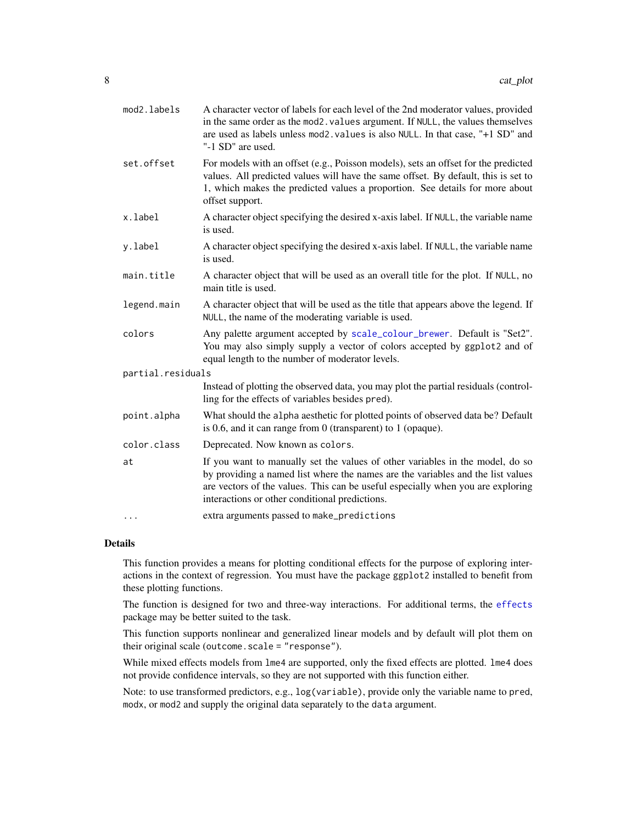<span id="page-7-0"></span>

| mod2.labels       | A character vector of labels for each level of the 2nd moderator values, provided<br>in the same order as the mod2. values argument. If NULL, the values themselves<br>are used as labels unless mod2. values is also NULL. In that case, "+1 SD" and<br>"-1 SD" are used.                            |
|-------------------|-------------------------------------------------------------------------------------------------------------------------------------------------------------------------------------------------------------------------------------------------------------------------------------------------------|
| set.offset        | For models with an offset (e.g., Poisson models), sets an offset for the predicted<br>values. All predicted values will have the same offset. By default, this is set to<br>1, which makes the predicted values a proportion. See details for more about<br>offset support.                           |
| x.label           | A character object specifying the desired x-axis label. If NULL, the variable name<br>is used.                                                                                                                                                                                                        |
| y.label           | A character object specifying the desired x-axis label. If NULL, the variable name<br>is used.                                                                                                                                                                                                        |
| main.title        | A character object that will be used as an overall title for the plot. If NULL, no<br>main title is used.                                                                                                                                                                                             |
| legend.main       | A character object that will be used as the title that appears above the legend. If<br>NULL, the name of the moderating variable is used.                                                                                                                                                             |
| colors            | Any palette argument accepted by scale_colour_brewer. Default is "Set2".<br>You may also simply supply a vector of colors accepted by ggplot2 and of<br>equal length to the number of moderator levels.                                                                                               |
| partial.residuals |                                                                                                                                                                                                                                                                                                       |
|                   | Instead of plotting the observed data, you may plot the partial residuals (control-<br>ling for the effects of variables besides pred).                                                                                                                                                               |
| point.alpha       | What should the alpha aesthetic for plotted points of observed data be? Default<br>is 0.6, and it can range from 0 (transparent) to 1 (opaque).                                                                                                                                                       |
| color.class       | Deprecated. Now known as colors.                                                                                                                                                                                                                                                                      |
| at                | If you want to manually set the values of other variables in the model, do so<br>by providing a named list where the names are the variables and the list values<br>are vectors of the values. This can be useful especially when you are exploring<br>interactions or other conditional predictions. |
| $\cdots$          | extra arguments passed to make_predictions                                                                                                                                                                                                                                                            |

This function provides a means for plotting conditional effects for the purpose of exploring interactions in the context of regression. You must have the package ggplot2 installed to benefit from these plotting functions.

The function is designed for two and three-way interactions. For additional terms, the [effects](#page-0-0) package may be better suited to the task.

This function supports nonlinear and generalized linear models and by default will plot them on their original scale (outcome.scale = "response").

While mixed effects models from lme4 are supported, only the fixed effects are plotted. lme4 does not provide confidence intervals, so they are not supported with this function either.

Note: to use transformed predictors, e.g., log(variable), provide only the variable name to pred, modx, or mod2 and supply the original data separately to the data argument.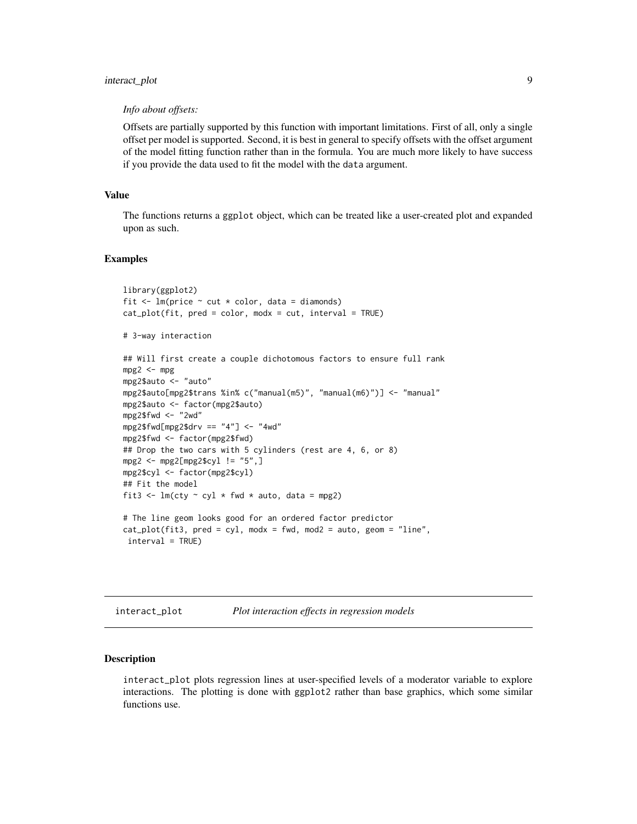# <span id="page-8-0"></span>interact\_plot 9

#### *Info about offsets:*

Offsets are partially supported by this function with important limitations. First of all, only a single offset per model is supported. Second, it is best in general to specify offsets with the offset argument of the model fitting function rather than in the formula. You are much more likely to have success if you provide the data used to fit the model with the data argument.

#### Value

The functions returns a ggplot object, which can be treated like a user-created plot and expanded upon as such.

#### Examples

```
library(ggplot2)
fit \leq lm(price \sim cut \star color, data = diamonds)
cat\_plot(fit, pred = color, modx = cut, interval = TRUE)# 3-way interaction
## Will first create a couple dichotomous factors to ensure full rank
mpg2 < -mpgmpg2$auto <- "auto"
mpg2$auto[mpg2$trans %in% c("manual(m5)", "manual(m6)")] <- "manual"
mpg2$auto <- factor(mpg2$auto)
mpg2$fwd <- "2wd"
mpg2$fwd[mpg2$drv == "4"] <- "4wd"
mpg2$fwd <- factor(mpg2$fwd)
## Drop the two cars with 5 cylinders (rest are 4, 6, or 8)
mpg2 <- mpg2[mpg2$cyl != "5",]
mpg2$cyl <- factor(mpg2$cyl)
## Fit the model
fit3 <- lm(cty \sim cyl \times fwd \times auto, data = mpg2)# The line geom looks good for an ordered factor predictor
cat\_plot(fit3, pred = cyl, modx = fwd, mod2 = auto, geom = "line",interval = TRUE)
```
<span id="page-8-1"></span>interact\_plot *Plot interaction effects in regression models*

#### **Description**

interact\_plot plots regression lines at user-specified levels of a moderator variable to explore interactions. The plotting is done with ggplot2 rather than base graphics, which some similar functions use.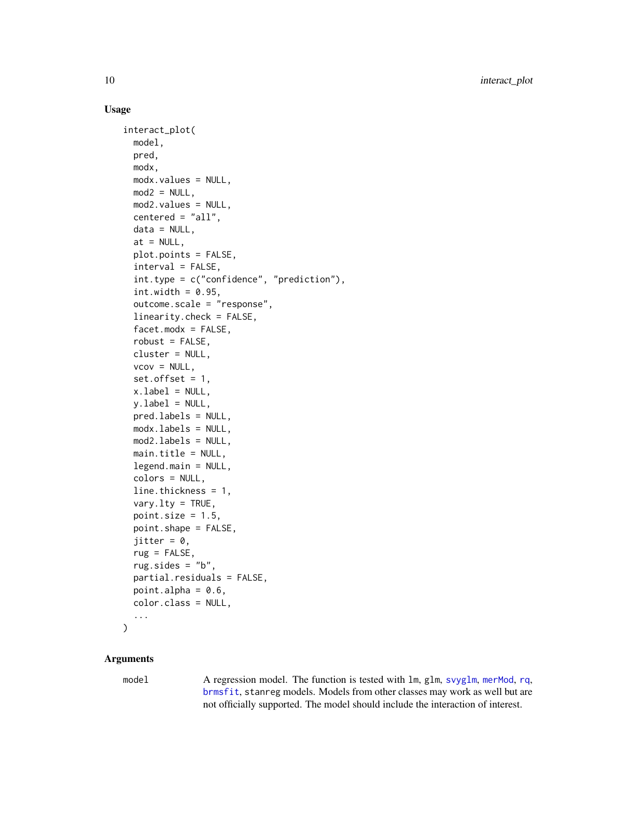# Usage

```
interact_plot(
  model,
 pred,
 modx,
 modx.values = NULL,
 mod2 = NULL,mod2.values = NULL,
 centered = "all",data = NULL,at = NULL,plot.points = FALSE,
  interval = FALSE,
  int.type = c("confidence", "prediction"),
  int. width = 0.95,outcome.scale = "response",
  linearity.check = FALSE,
  facet.modx = FALSE,
  robust = FALSE,cluster = NULL,
  vcov = NULL,set.offset = 1,
  x.label = NULL,
 y.label = NULL,
 pred.labels = NULL,
 modx.labels = NULL,
 mod2.labels = NULL,
 main.title = NULL,
  legend.main = NULL,
  colors = NULL,
  line.thickness = 1,
  vary.lty = TRUE,
  point.size = 1.5,
 point.shape = FALSE,
  jitter = 0,
  rug = FALSE,
  rug.sides = "b",partial.residuals = FALSE,
 point.alpha = 0.6,
  color.class = NULL,
  ...
)
```
# Arguments

model A regression model. The function is tested with lm, glm, [svyglm](#page-0-0), [merMod](#page-0-0), [rq](#page-0-0), [brmsfit](#page-0-0), stanreg models. Models from other classes may work as well but are not officially supported. The model should include the interaction of interest.

<span id="page-9-0"></span>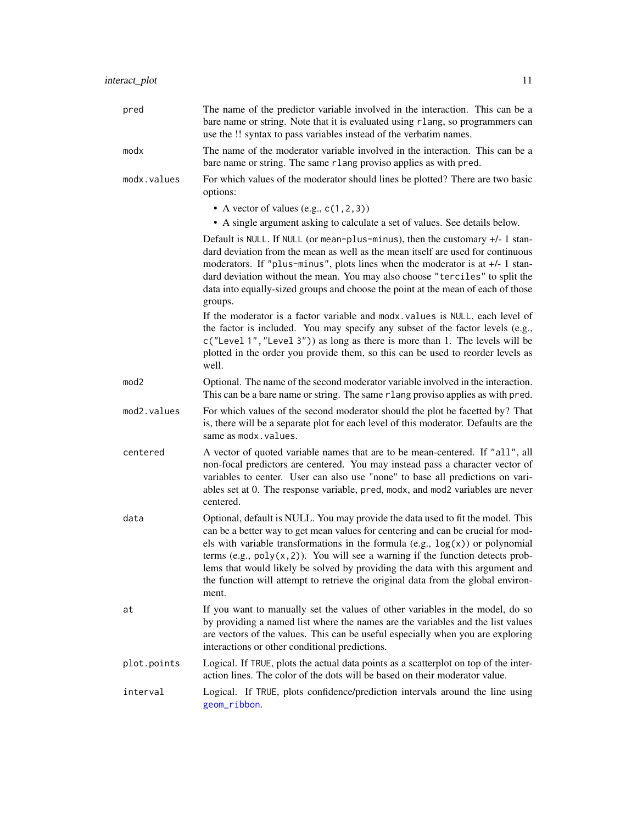<span id="page-10-0"></span>

| pred             | The name of the predictor variable involved in the interaction. This can be a<br>bare name or string. Note that it is evaluated using rlang, so programmers can<br>use the !! syntax to pass variables instead of the verbatim names.                                                                                                                                                                                                                                                                                      |
|------------------|----------------------------------------------------------------------------------------------------------------------------------------------------------------------------------------------------------------------------------------------------------------------------------------------------------------------------------------------------------------------------------------------------------------------------------------------------------------------------------------------------------------------------|
| modx             | The name of the moderator variable involved in the interaction. This can be a<br>bare name or string. The same rlang proviso applies as with pred.                                                                                                                                                                                                                                                                                                                                                                         |
| modx.values      | For which values of the moderator should lines be plotted? There are two basic<br>options:                                                                                                                                                                                                                                                                                                                                                                                                                                 |
|                  | • A vector of values (e.g., $c(1, 2, 3)$ )<br>• A single argument asking to calculate a set of values. See details below.                                                                                                                                                                                                                                                                                                                                                                                                  |
|                  | Default is NULL. If NULL (or mean-plus-minus), then the customary $+/- 1$ stan-<br>dard deviation from the mean as well as the mean itself are used for continuous<br>moderators. If "plus-minus", plots lines when the moderator is at +/- 1 stan-<br>dard deviation without the mean. You may also choose "terciles" to split the<br>data into equally-sized groups and choose the point at the mean of each of those                                                                                                    |
|                  | groups.<br>If the moderator is a factor variable and modx. values is NULL, each level of<br>the factor is included. You may specify any subset of the factor levels (e.g.,<br>c("Level 1", "Level 3")) as long as there is more than 1. The levels will be<br>plotted in the order you provide them, so this can be used to reorder levels as<br>well.                                                                                                                                                                     |
| mod <sub>2</sub> | Optional. The name of the second moderator variable involved in the interaction.<br>This can be a bare name or string. The same rlang proviso applies as with pred.                                                                                                                                                                                                                                                                                                                                                        |
| mod2.values      | For which values of the second moderator should the plot be facetted by? That<br>is, there will be a separate plot for each level of this moderator. Defaults are the<br>same as modx.values.                                                                                                                                                                                                                                                                                                                              |
| centered         | A vector of quoted variable names that are to be mean-centered. If "all", all<br>non-focal predictors are centered. You may instead pass a character vector of<br>variables to center. User can also use "none" to base all predictions on vari-<br>ables set at 0. The response variable, pred, modx, and mod2 variables are never<br>centered.                                                                                                                                                                           |
| data             | Optional, default is NULL. You may provide the data used to fit the model. This<br>can be a better way to get mean values for centering and can be crucial for mod-<br>els with variable transformations in the formula (e.g., $log(x)$ ) or polynomial<br>terms (e.g., $poly(x, 2)$ ). You will see a warning if the function detects prob-<br>lems that would likely be solved by providing the data with this argument and<br>the function will attempt to retrieve the original data from the global environ-<br>ment. |
| at               | If you want to manually set the values of other variables in the model, do so<br>by providing a named list where the names are the variables and the list values<br>are vectors of the values. This can be useful especially when you are exploring<br>interactions or other conditional predictions.                                                                                                                                                                                                                      |
| plot.points      | Logical. If TRUE, plots the actual data points as a scatterplot on top of the inter-<br>action lines. The color of the dots will be based on their moderator value.                                                                                                                                                                                                                                                                                                                                                        |
| interval         | Logical. If TRUE, plots confidence/prediction intervals around the line using<br>geom_ribbon.                                                                                                                                                                                                                                                                                                                                                                                                                              |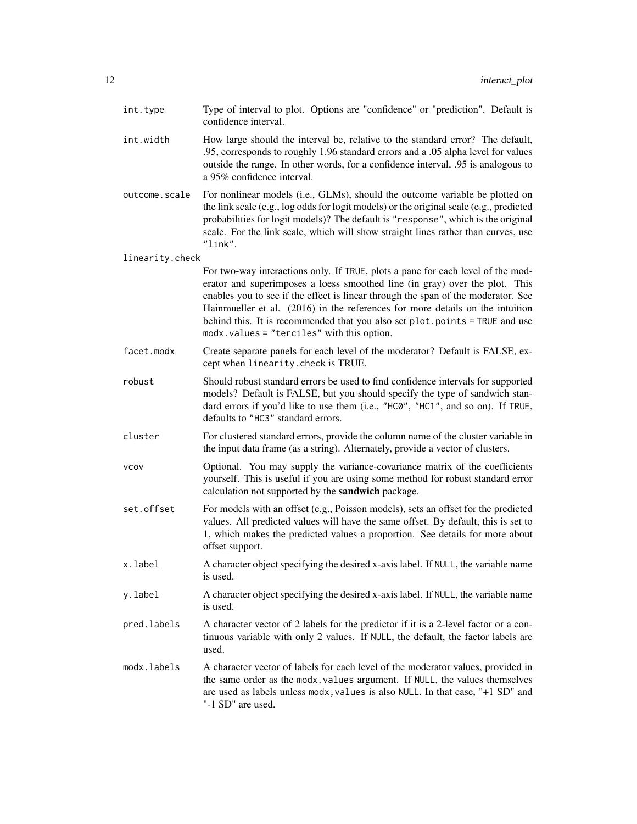| int.type        | Type of interval to plot. Options are "confidence" or "prediction". Default is<br>confidence interval.                                                                                                                                                                                                                                                                                                                                                            |
|-----------------|-------------------------------------------------------------------------------------------------------------------------------------------------------------------------------------------------------------------------------------------------------------------------------------------------------------------------------------------------------------------------------------------------------------------------------------------------------------------|
| int.width       | How large should the interval be, relative to the standard error? The default,<br>.95, corresponds to roughly 1.96 standard errors and a .05 alpha level for values<br>outside the range. In other words, for a confidence interval, 05 is analogous to<br>a 95% confidence interval.                                                                                                                                                                             |
| outcome.scale   | For nonlinear models (i.e., GLMs), should the outcome variable be plotted on<br>the link scale (e.g., log odds for logit models) or the original scale (e.g., predicted<br>probabilities for logit models)? The default is "response", which is the original<br>scale. For the link scale, which will show straight lines rather than curves, use<br>"link".                                                                                                      |
| linearity.check |                                                                                                                                                                                                                                                                                                                                                                                                                                                                   |
|                 | For two-way interactions only. If TRUE, plots a pane for each level of the mod-<br>erator and superimposes a loess smoothed line (in gray) over the plot. This<br>enables you to see if the effect is linear through the span of the moderator. See<br>Hainmueller et al. (2016) in the references for more details on the intuition<br>behind this. It is recommended that you also set plot.points = TRUE and use<br>modx.values = "terciles" with this option. |
| facet.modx      | Create separate panels for each level of the moderator? Default is FALSE, ex-<br>cept when linearity. check is TRUE.                                                                                                                                                                                                                                                                                                                                              |
| robust          | Should robust standard errors be used to find confidence intervals for supported<br>models? Default is FALSE, but you should specify the type of sandwich stan-<br>dard errors if you'd like to use them (i.e., "HC0", "HC1", and so on). If TRUE,<br>defaults to "HC3" standard errors.                                                                                                                                                                          |
| cluster         | For clustered standard errors, provide the column name of the cluster variable in<br>the input data frame (as a string). Alternately, provide a vector of clusters.                                                                                                                                                                                                                                                                                               |
| vcov            | Optional. You may supply the variance-covariance matrix of the coefficients<br>yourself. This is useful if you are using some method for robust standard error<br>calculation not supported by the sandwich package.                                                                                                                                                                                                                                              |
| set.offset      | For models with an offset (e.g., Poisson models), sets an offset for the predicted<br>values. All predicted values will have the same offset. By default, this is set to<br>1, which makes the predicted values a proportion. See details for more about<br>offset support.                                                                                                                                                                                       |
| x.label         | A character object specifying the desired x-axis label. If NULL, the variable name<br>is used.                                                                                                                                                                                                                                                                                                                                                                    |
| y.label         | A character object specifying the desired x-axis label. If NULL, the variable name<br>is used.                                                                                                                                                                                                                                                                                                                                                                    |
| pred.labels     | A character vector of 2 labels for the predictor if it is a 2-level factor or a con-<br>tinuous variable with only 2 values. If NULL, the default, the factor labels are<br>used.                                                                                                                                                                                                                                                                                 |
| modx.labels     | A character vector of labels for each level of the moderator values, provided in<br>the same order as the modx. values argument. If NULL, the values themselves<br>are used as labels unless modx, values is also NULL. In that case, "+1 SD" and<br>"-1 SD" are used.                                                                                                                                                                                            |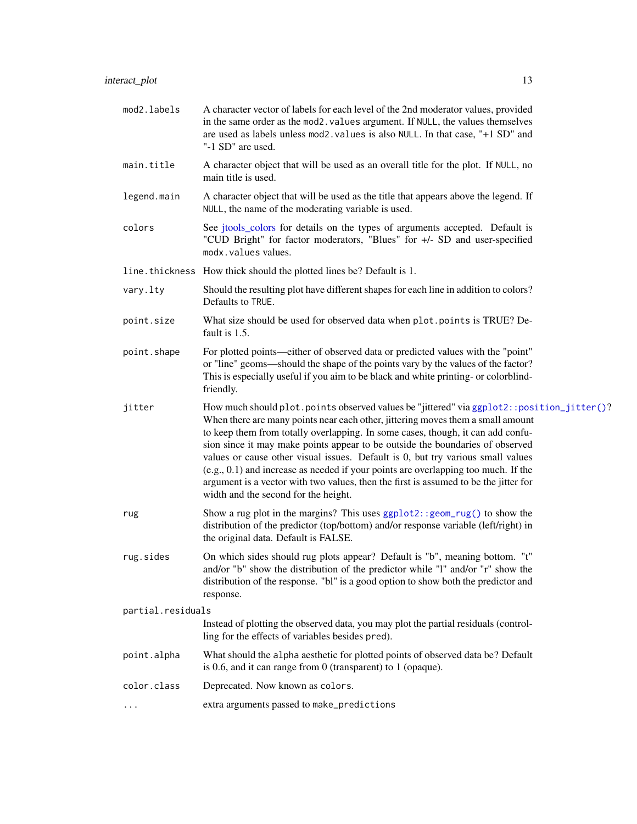- <span id="page-12-0"></span>mod2. labels A character vector of labels for each level of the 2nd moderator values, provided in the same order as the mod2.values argument. If NULL, the values themselves are used as labels unless mod2.values is also NULL. In that case, "+1 SD" and "-1 SD" are used.
- main.title A character object that will be used as an overall title for the plot. If NULL, no main title is used.
- legend.main A character object that will be used as the title that appears above the legend. If NULL, the name of the moderating variable is used.
- colors See [jtools\\_colors](#page-0-0) for details on the types of arguments accepted. Default is "CUD Bright" for factor moderators, "Blues" for +/- SD and user-specified modx.values values.
- line.thickness How thick should the plotted lines be? Default is 1.
- vary.lty Should the resulting plot have different shapes for each line in addition to colors? Defaults to TRUE.
- point.size What size should be used for observed data when plot.points is TRUE? Default is 1.5.
- point.shape For plotted points—either of observed data or predicted values with the "point" or "line" geoms—should the shape of the points vary by the values of the factor? This is especially useful if you aim to be black and white printing- or colorblindfriendly.
- jitter How much should plot.points observed values be "jittered" via [ggplot2::position\\_jitter\(\)](#page-0-0)? When there are many points near each other, jittering moves them a small amount to keep them from totally overlapping. In some cases, though, it can add confusion since it may make points appear to be outside the boundaries of observed values or cause other visual issues. Default is 0, but try various small values (e.g., 0.1) and increase as needed if your points are overlapping too much. If the argument is a vector with two values, then the first is assumed to be the jitter for width and the second for the height.
- rug Show a rug plot in the margins? This uses [ggplot2::geom\\_rug\(\)](#page-0-0) to show the distribution of the predictor (top/bottom) and/or response variable (left/right) in the original data. Default is FALSE.
- rug.sides On which sides should rug plots appear? Default is "b", meaning bottom. "t" and/or "b" show the distribution of the predictor while "l" and/or "r" show the distribution of the response. "bl" is a good option to show both the predictor and response.

```
partial.residuals
```
Instead of plotting the observed data, you may plot the partial residuals (controlling for the effects of variables besides pred).

- point.alpha What should the alpha aesthetic for plotted points of observed data be? Default is 0.6, and it can range from 0 (transparent) to 1 (opaque).
- color.class Deprecated. Now known as colors.
- ... extra arguments passed to make\_predictions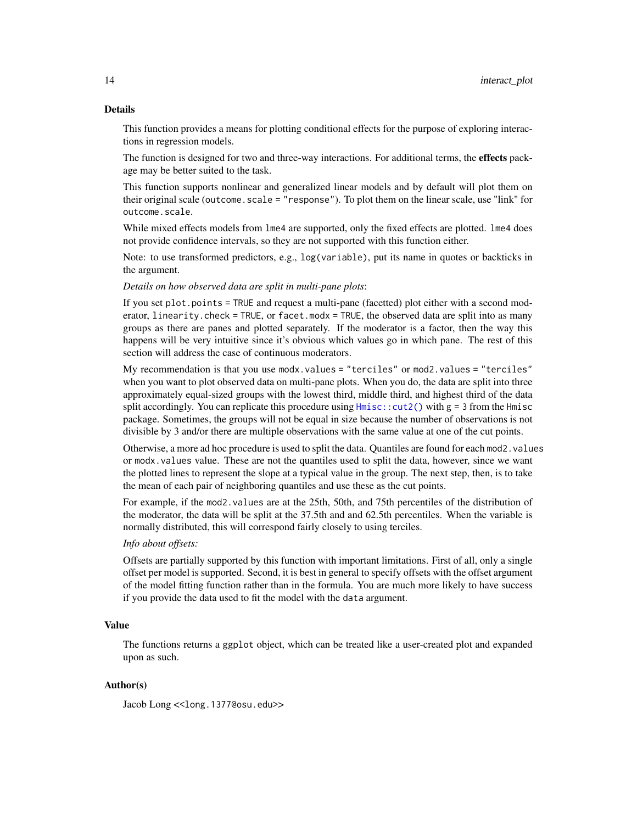<span id="page-13-0"></span>This function provides a means for plotting conditional effects for the purpose of exploring interactions in regression models.

The function is designed for two and three-way interactions. For additional terms, the effects package may be better suited to the task.

This function supports nonlinear and generalized linear models and by default will plot them on their original scale (outcome.scale = "response"). To plot them on the linear scale, use "link" for outcome.scale.

While mixed effects models from lme4 are supported, only the fixed effects are plotted. lme4 does not provide confidence intervals, so they are not supported with this function either.

Note: to use transformed predictors, e.g., log(variable), put its name in quotes or backticks in the argument.

#### *Details on how observed data are split in multi-pane plots*:

If you set plot.points = TRUE and request a multi-pane (facetted) plot either with a second moderator, linearity.check = TRUE, or facet.modx = TRUE, the observed data are split into as many groups as there are panes and plotted separately. If the moderator is a factor, then the way this happens will be very intuitive since it's obvious which values go in which pane. The rest of this section will address the case of continuous moderators.

My recommendation is that you use modx.values = "terciles" or mod2.values = "terciles" when you want to plot observed data on multi-pane plots. When you do, the data are split into three approximately equal-sized groups with the lowest third, middle third, and highest third of the data split accordingly. You can replicate this procedure using  $Hmisc$ : $cut2()$  with  $g = 3$  from the Hmisc package. Sometimes, the groups will not be equal in size because the number of observations is not divisible by 3 and/or there are multiple observations with the same value at one of the cut points.

Otherwise, a more ad hoc procedure is used to split the data. Quantiles are found for each mod2. values or modx.values value. These are not the quantiles used to split the data, however, since we want the plotted lines to represent the slope at a typical value in the group. The next step, then, is to take the mean of each pair of neighboring quantiles and use these as the cut points.

For example, if the mod2.values are at the 25th, 50th, and 75th percentiles of the distribution of the moderator, the data will be split at the 37.5th and and 62.5th percentiles. When the variable is normally distributed, this will correspond fairly closely to using terciles.

#### *Info about offsets:*

Offsets are partially supported by this function with important limitations. First of all, only a single offset per model is supported. Second, it is best in general to specify offsets with the offset argument of the model fitting function rather than in the formula. You are much more likely to have success if you provide the data used to fit the model with the data argument.

#### Value

The functions returns a ggplot object, which can be treated like a user-created plot and expanded upon as such.

# Author(s)

Jacob Long << long.1377@osu.edu>>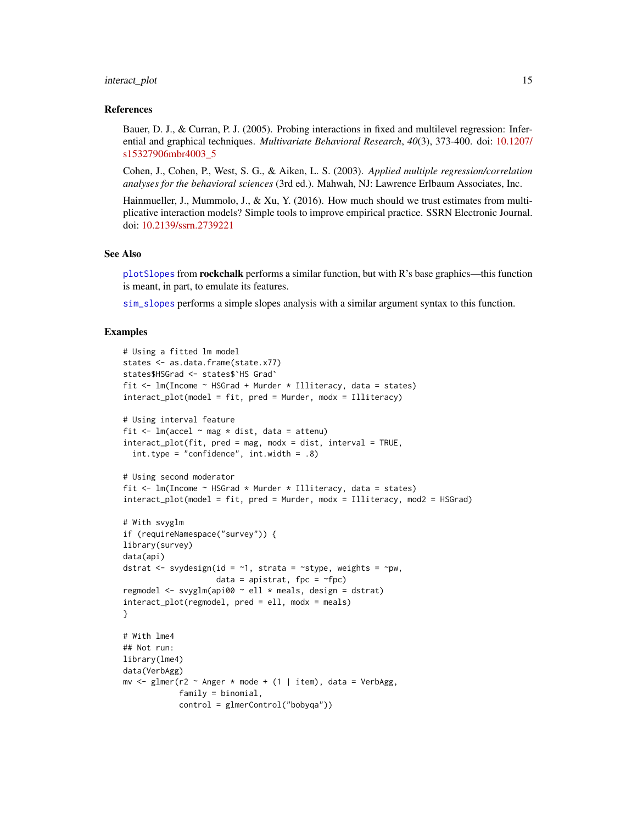#### <span id="page-14-0"></span>interact\_plot 15

#### References

Bauer, D. J., & Curran, P. J. (2005). Probing interactions in fixed and multilevel regression: Inferential and graphical techniques. *Multivariate Behavioral Research*, *40*(3), 373-400. doi: [10.1207/](https://doi.org/10.1207/s15327906mbr4003_5) [s15327906mbr4003\\_5](https://doi.org/10.1207/s15327906mbr4003_5)

Cohen, J., Cohen, P., West, S. G., & Aiken, L. S. (2003). *Applied multiple regression/correlation analyses for the behavioral sciences* (3rd ed.). Mahwah, NJ: Lawrence Erlbaum Associates, Inc.

Hainmueller, J., Mummolo, J., & Xu, Y. (2016). How much should we trust estimates from multiplicative interaction models? Simple tools to improve empirical practice. SSRN Electronic Journal. doi: [10.2139/ssrn.2739221](https://doi.org/10.2139/ssrn.2739221)

#### See Also

[plotSlopes](#page-0-0) from **rockchalk** performs a similar function, but with R's base graphics—this function is meant, in part, to emulate its features.

[sim\\_slopes](#page-23-1) performs a simple slopes analysis with a similar argument syntax to this function.

# Examples

```
# Using a fitted lm model
states <- as.data.frame(state.x77)
states$HSGrad <- states$`HS Grad`
fit <- lm(Income ~ HSGrad + Murder * Illiteracy, data = states)
interact_plot(model = fit, pred = Murder, modx = Illiteracy)
# Using interval feature
fit \leq lm(accel \sim mag \star dist, data = attenu)
interact_plot(fit, pred = mag, modx = dist, interval = TRUE,
 int.type = "confidence", int.width = .8)
# Using second moderator
fit \leq lm(Income \sim HSGrad * Murder * Illiteracy, data = states)
interact_plot(model = fit, pred = Murder, modx = Illiteracy, mod2 = HSGrad)
# With svyglm
if (requireNamespace("survey")) {
library(survey)
data(api)
dstrat \leq svydesign(id = \sim1, strata = \simstype, weights = \simpw,
                    data = apistrat, fpc = \gamma fpc)
regmodel \leq svyglm(api00 \sim ell \star meals, design = dstrat)
interact_plot(regmodel, pred = ell, modx = meals)
}
# With lme4
## Not run:
library(lme4)
data(VerbAgg)
mv <- glmer(r2 \sim Anger * mode + (1 | item), data = VerbAgg,
            family = binomial,
            control = glmerControl("bobyqa"))
```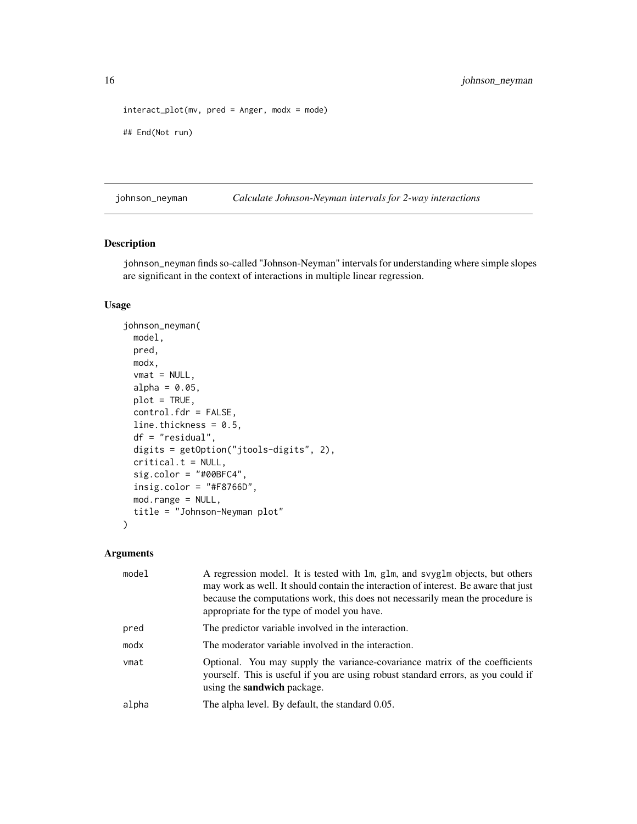```
interact_plot(mv, pred = Anger, modx = mode)
## End(Not run)
```
<span id="page-15-1"></span>johnson\_neyman *Calculate Johnson-Neyman intervals for 2-way interactions*

# Description

johnson\_neyman finds so-called "Johnson-Neyman" intervals for understanding where simple slopes are significant in the context of interactions in multiple linear regression.

# Usage

```
johnson_neyman(
 model,
 pred,
 modx,
 vmat = NULL,alpha = 0.05,
 plot = TRUE,
 control.fdr = FALSE,
 line.thickness = 0.5,
 df = "residual",
 digits = getOption("jtools-digits", 2),
 critical.t = NULL,
  sig.color = "#00BFC4",
 insig.color = "#F8766D",mod.range = NULL,
  title = "Johnson-Neyman plot"
)
```

| model | A regression model. It is tested with lm, glm, and svyglm objects, but others<br>may work as well. It should contain the interaction of interest. Be aware that just<br>because the computations work, this does not necessarily mean the procedure is<br>appropriate for the type of model you have. |
|-------|-------------------------------------------------------------------------------------------------------------------------------------------------------------------------------------------------------------------------------------------------------------------------------------------------------|
| pred  | The predictor variable involved in the interaction.                                                                                                                                                                                                                                                   |
| modx  | The moderator variable involved in the interaction.                                                                                                                                                                                                                                                   |
| vmat  | Optional. You may supply the variance-covariance matrix of the coefficients<br>yourself. This is useful if you are using robust standard errors, as you could if<br>using the <b>sandwich</b> package.                                                                                                |
| alpha | The alpha level. By default, the standard 0.05.                                                                                                                                                                                                                                                       |

<span id="page-15-0"></span>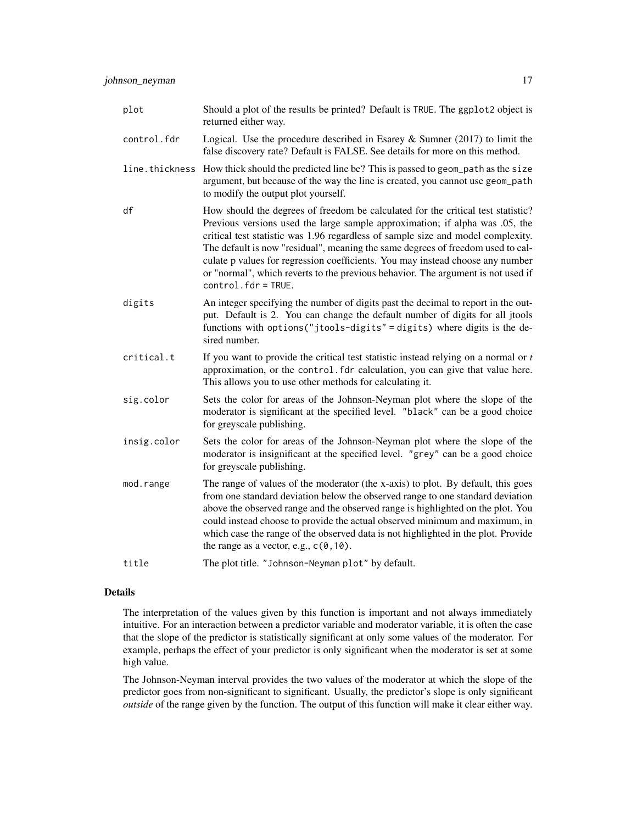| plot           | Should a plot of the results be printed? Default is TRUE. The ggplot2 object is<br>returned either way.                                                                                                                                                                                                                                                                                                                                                                                                                                |
|----------------|----------------------------------------------------------------------------------------------------------------------------------------------------------------------------------------------------------------------------------------------------------------------------------------------------------------------------------------------------------------------------------------------------------------------------------------------------------------------------------------------------------------------------------------|
| control.fdr    | Logical. Use the procedure described in Esarey $\&$ Sumner (2017) to limit the<br>false discovery rate? Default is FALSE. See details for more on this method.                                                                                                                                                                                                                                                                                                                                                                         |
| line.thickness | How thick should the predicted line be? This is passed to geom_path as the size<br>argument, but because of the way the line is created, you cannot use geom_path<br>to modify the output plot yourself.                                                                                                                                                                                                                                                                                                                               |
| df             | How should the degrees of freedom be calculated for the critical test statistic?<br>Previous versions used the large sample approximation; if alpha was .05, the<br>critical test statistic was 1.96 regardless of sample size and model complexity.<br>The default is now "residual", meaning the same degrees of freedom used to cal-<br>culate p values for regression coefficients. You may instead choose any number<br>or "normal", which reverts to the previous behavior. The argument is not used if<br>$control.fdr = TRUE.$ |
| digits         | An integer specifying the number of digits past the decimal to report in the out-<br>put. Default is 2. You can change the default number of digits for all jtools<br>functions with options ("jtools-digits" = digits) where digits is the de-<br>sired number.                                                                                                                                                                                                                                                                       |
| critical.t     | If you want to provide the critical test statistic instead relying on a normal or $t$<br>approximation, or the control. fdr calculation, you can give that value here.<br>This allows you to use other methods for calculating it.                                                                                                                                                                                                                                                                                                     |
| sig.color      | Sets the color for areas of the Johnson-Neyman plot where the slope of the<br>moderator is significant at the specified level. "black" can be a good choice<br>for greyscale publishing.                                                                                                                                                                                                                                                                                                                                               |
| insig.color    | Sets the color for areas of the Johnson-Neyman plot where the slope of the<br>moderator is insignificant at the specified level. "grey" can be a good choice<br>for greyscale publishing.                                                                                                                                                                                                                                                                                                                                              |
| mod.range      | The range of values of the moderator (the x-axis) to plot. By default, this goes<br>from one standard deviation below the observed range to one standard deviation<br>above the observed range and the observed range is highlighted on the plot. You<br>could instead choose to provide the actual observed minimum and maximum, in<br>which case the range of the observed data is not highlighted in the plot. Provide<br>the range as a vector, e.g., $c(0, 10)$ .                                                                 |
| title          | The plot title. "Johnson-Neyman plot" by default.                                                                                                                                                                                                                                                                                                                                                                                                                                                                                      |

The interpretation of the values given by this function is important and not always immediately intuitive. For an interaction between a predictor variable and moderator variable, it is often the case that the slope of the predictor is statistically significant at only some values of the moderator. For example, perhaps the effect of your predictor is only significant when the moderator is set at some high value.

The Johnson-Neyman interval provides the two values of the moderator at which the slope of the predictor goes from non-significant to significant. Usually, the predictor's slope is only significant *outside* of the range given by the function. The output of this function will make it clear either way.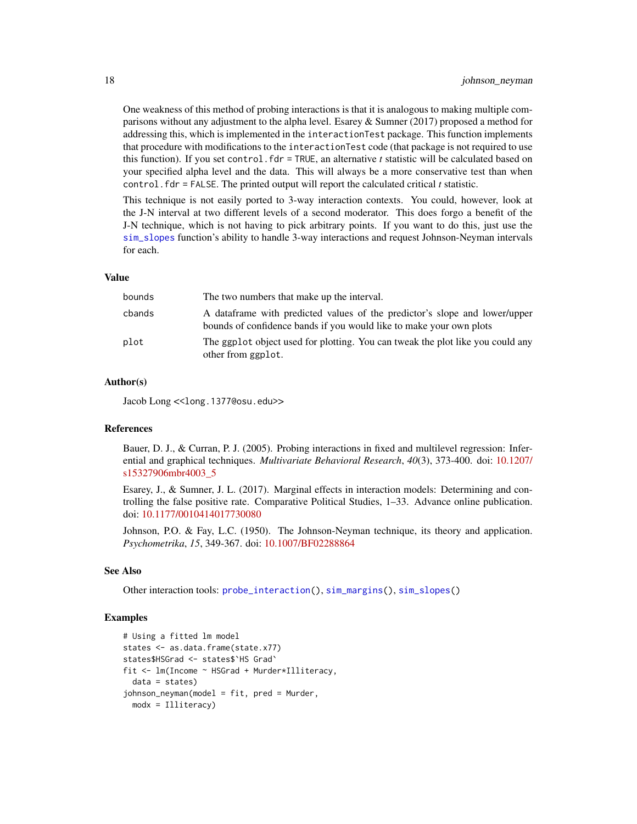One weakness of this method of probing interactions is that it is analogous to making multiple comparisons without any adjustment to the alpha level. Esarey & Sumner (2017) proposed a method for addressing this, which is implemented in the interactionTest package. This function implements that procedure with modifications to the interactionTest code (that package is not required to use this function). If you set control.fdr = TRUE, an alternative *t* statistic will be calculated based on your specified alpha level and the data. This will always be a more conservative test than when control.fdr = FALSE. The printed output will report the calculated critical  $t$  statistic.

This technique is not easily ported to 3-way interaction contexts. You could, however, look at the J-N interval at two different levels of a second moderator. This does forgo a benefit of the J-N technique, which is not having to pick arbitrary points. If you want to do this, just use the [sim\\_slopes](#page-23-1) function's ability to handle 3-way interactions and request Johnson-Neyman intervals for each.

#### Value

| bounds | The two numbers that make up the interval.                                                                                                        |
|--------|---------------------------------------------------------------------------------------------------------------------------------------------------|
| cbands | A dataframe with predicted values of the predictor's slope and lower/upper<br>bounds of confidence bands if you would like to make your own plots |
| plot   | The ggplot object used for plotting. You can tweak the plot like you could any<br>other from ggplot.                                              |

# Author(s)

Jacob Long << long.1377@osu.edu>>

# References

Bauer, D. J., & Curran, P. J. (2005). Probing interactions in fixed and multilevel regression: Inferential and graphical techniques. *Multivariate Behavioral Research*, *40*(3), 373-400. doi: [10.1207/](https://doi.org/10.1207/s15327906mbr4003_5) [s15327906mbr4003\\_5](https://doi.org/10.1207/s15327906mbr4003_5)

Esarey, J., & Sumner, J. L. (2017). Marginal effects in interaction models: Determining and controlling the false positive rate. Comparative Political Studies, 1–33. Advance online publication. doi: [10.1177/0010414017730080](https://doi.org/10.1177/0010414017730080)

Johnson, P.O. & Fay, L.C. (1950). The Johnson-Neyman technique, its theory and application. *Psychometrika*, *15*, 349-367. doi: [10.1007/BF02288864](https://doi.org/10.1007/BF02288864)

#### See Also

Other interaction tools: [probe\\_interaction\(](#page-19-1)), [sim\\_margins\(](#page-20-1)), [sim\\_slopes\(](#page-23-1))

# Examples

```
# Using a fitted lm model
states <- as.data.frame(state.x77)
states$HSGrad <- states$`HS Grad`
fit <- lm(Income ~ HSGrad + Murder*Illiteracy,
 data = states)
johnson_neyman(model = fit, pred = Murder,
 modx = Illiteracy)
```
<span id="page-17-0"></span>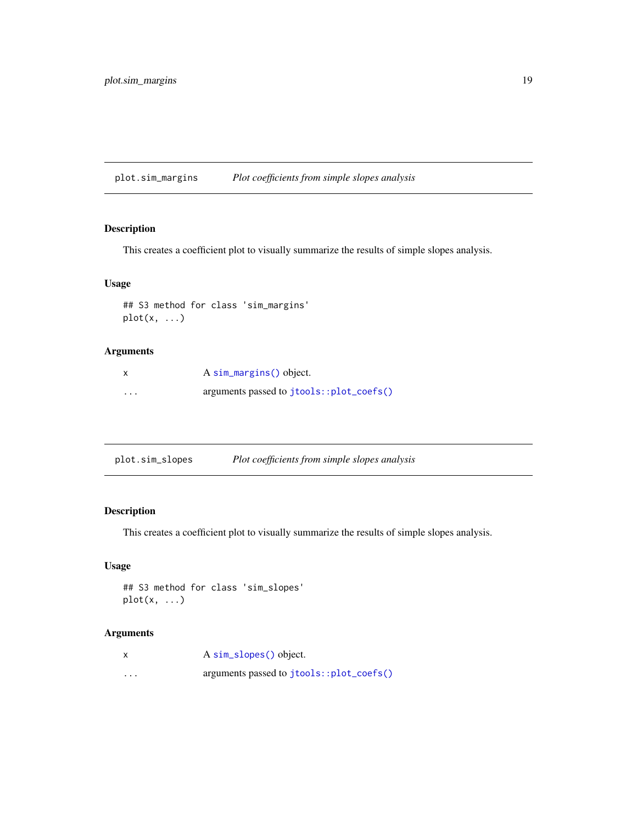<span id="page-18-0"></span>plot.sim\_margins *Plot coefficients from simple slopes analysis*

# Description

This creates a coefficient plot to visually summarize the results of simple slopes analysis.

# Usage

```
## S3 method for class 'sim_margins'
plot(x, \ldots)
```
# Arguments

|          | A sim_margins() object.                  |
|----------|------------------------------------------|
| $\cdots$ | arguments passed to jtools::plot_coefs() |

| plot.sim_slopes | Plot coefficients from simple slopes analysis |  |
|-----------------|-----------------------------------------------|--|
|                 |                                               |  |

# Description

This creates a coefficient plot to visually summarize the results of simple slopes analysis.

# Usage

```
## S3 method for class 'sim_slopes'
plot(x, \ldots)
```

|                         | A sim_slopes() object.                   |
|-------------------------|------------------------------------------|
| $\cdot$ $\cdot$ $\cdot$ | arguments passed to jtools::plot_coefs() |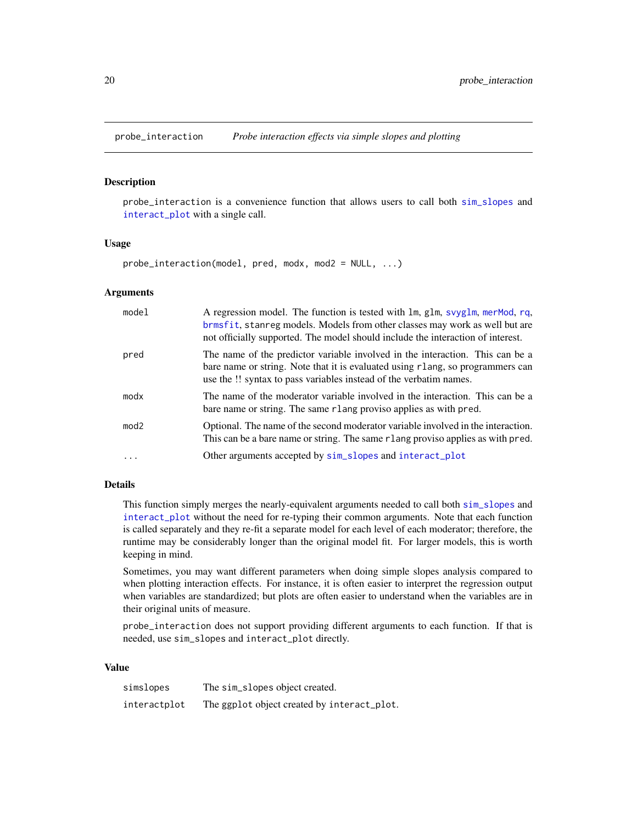<span id="page-19-1"></span><span id="page-19-0"></span>

# Description

probe\_interaction is a convenience function that allows users to call both [sim\\_slopes](#page-23-1) and [interact\\_plot](#page-8-1) with a single call.

#### Usage

probe\_interaction(model, pred, modx, mod2 = NULL, ...)

# Arguments

| model            | A regression model. The function is tested with lm, glm, svyglm, merMod, rq,<br>brmsfit, stanreg models. Models from other classes may work as well but are<br>not officially supported. The model should include the interaction of interest. |
|------------------|------------------------------------------------------------------------------------------------------------------------------------------------------------------------------------------------------------------------------------------------|
| pred             | The name of the predictor variable involved in the interaction. This can be a<br>bare name or string. Note that it is evaluated using r lang, so programmers can<br>use the !! syntax to pass variables instead of the verbatim names.         |
| modx             | The name of the moderator variable involved in the interaction. This can be a<br>bare name or string. The same rlang proviso applies as with pred.                                                                                             |
| mod <sub>2</sub> | Optional. The name of the second moderator variable involved in the interaction.<br>This can be a bare name or string. The same r lang proviso applies as with pred.                                                                           |
|                  | Other arguments accepted by sim_slopes and interact_plot                                                                                                                                                                                       |

# Details

This function simply merges the nearly-equivalent arguments needed to call both [sim\\_slopes](#page-23-1) and [interact\\_plot](#page-8-1) without the need for re-typing their common arguments. Note that each function is called separately and they re-fit a separate model for each level of each moderator; therefore, the runtime may be considerably longer than the original model fit. For larger models, this is worth keeping in mind.

Sometimes, you may want different parameters when doing simple slopes analysis compared to when plotting interaction effects. For instance, it is often easier to interpret the regression output when variables are standardized; but plots are often easier to understand when the variables are in their original units of measure.

probe\_interaction does not support providing different arguments to each function. If that is needed, use sim\_slopes and interact\_plot directly.

#### Value

| simslopes    | The sim_slopes object created.              |
|--------------|---------------------------------------------|
| interactplot | The ggplot object created by interact_plot. |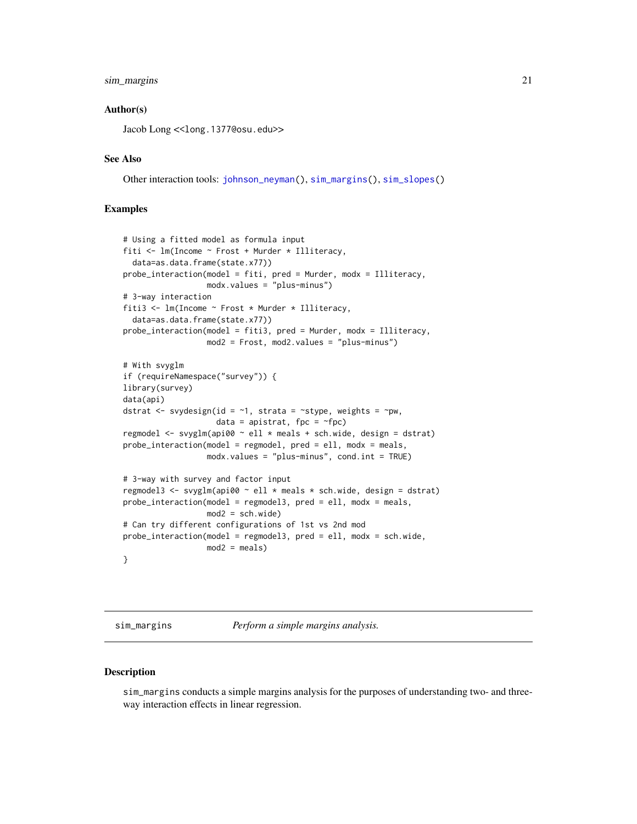#### <span id="page-20-0"></span>sim\_margins 21

# Author(s)

Jacob Long << long.1377@osu.edu>>

#### See Also

Other interaction tools: [johnson\\_neyman\(](#page-15-1)), [sim\\_margins\(](#page-20-1)), [sim\\_slopes\(](#page-23-1))

# Examples

```
# Using a fitted model as formula input
fiti <- lm(Income ~ Frost + Murder * Illiteracy,
 data=as.data.frame(state.x77))
probe_interaction(model = fiti, pred = Murder, modx = Illiteracy,
                  modx.values = "plus-minus")
# 3-way interaction
fiti3 <- lm(Income ~ Frost * Murder * Illiteracy,
 data=as.data.frame(state.x77))
probe_interaction(model = fiti3, pred = Murder, modx = Illiteracy,
                  mod2 = Frost, mod2.values = "plus-minus")
# With svyglm
if (requireNamespace("survey")) {
library(survey)
data(api)
dstrat \leq svydesign(id = \sim1, strata = \simstype, weights = \simpw,
                    data = apistrat, fpc = -fpc)
regmodel <- svyglm(api00 ~ ell * meals + sch.wide, design = dstrat)
probe_interaction(model = regmodel, pred = ell, modx = meals,
                  modx.values = "plus-minus", cond.int = TRUE)
# 3-way with survey and factor input
regmodel3 <- svyglm(api00 ~ ell * meals * sch.wide, design = dstrat)
probe_interaction(model = regmodel3, pred = ell, modx = meals,
                 mod2 = sch.wide)
# Can try different configurations of 1st vs 2nd mod
probe_interaction(model = regmodel3, pred = ell, modx = sch.wide,
                  mod2 = meals)}
```
<span id="page-20-1"></span>sim\_margins *Perform a simple margins analysis.*

#### Description

sim\_margins conducts a simple margins analysis for the purposes of understanding two- and threeway interaction effects in linear regression.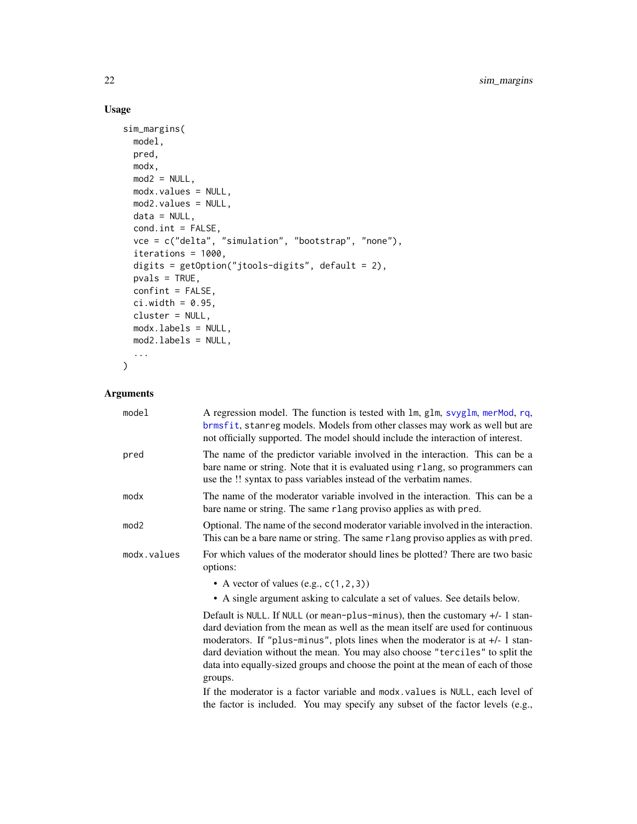# Usage

```
sim_margins(
 model,
 pred,
 modx,
 mod2 = NULL,modx.values = NULL,
 mod2.values = NULL,
 data = NULL,cond.int = FALSE,
 vce = c("delta", "simulation", "bootstrap", "none"),
  iterations = 1000,
  digits = getOption("jtools-digits", default = 2),
 pvals = TRUE,confint = FALSE,
 ci.width = 0.95,cluster = NULL,
 modx.labels = NULL,
 mod2.labels = NULL,
  ...
\mathcal{L}
```
# Arguments

| model            | A regression model. The function is tested with lm, glm, svyglm, merMod, rq,<br>brmsfit, stanreg models. Models from other classes may work as well but are<br>not officially supported. The model should include the interaction of interest.                                                                                                                                                                         |
|------------------|------------------------------------------------------------------------------------------------------------------------------------------------------------------------------------------------------------------------------------------------------------------------------------------------------------------------------------------------------------------------------------------------------------------------|
| pred             | The name of the predictor variable involved in the interaction. This can be a<br>bare name or string. Note that it is evaluated using rlang, so programmers can<br>use the !! syntax to pass variables instead of the verbatim names.                                                                                                                                                                                  |
| modx             | The name of the moderator variable involved in the interaction. This can be a<br>bare name or string. The same rlang proviso applies as with pred.                                                                                                                                                                                                                                                                     |
| mod <sub>2</sub> | Optional. The name of the second moderator variable involved in the interaction.<br>This can be a bare name or string. The same rlang proviso applies as with pred.                                                                                                                                                                                                                                                    |
| modx.values      | For which values of the moderator should lines be plotted? There are two basic<br>options:                                                                                                                                                                                                                                                                                                                             |
|                  | • A vector of values (e.g., $c(1, 2, 3)$ )                                                                                                                                                                                                                                                                                                                                                                             |
|                  | • A single argument asking to calculate a set of values. See details below.                                                                                                                                                                                                                                                                                                                                            |
|                  | Default is NULL. If NULL (or mean-plus-minus), then the customary +/- 1 stan-<br>dard deviation from the mean as well as the mean itself are used for continuous<br>moderators. If "plus-minus", plots lines when the moderator is at $+/-1$ stan-<br>dard deviation without the mean. You may also choose "terciles" to split the<br>data into equally-sized groups and choose the point at the mean of each of those |
|                  | groups.                                                                                                                                                                                                                                                                                                                                                                                                                |
|                  | If the mederator is a fector verights and mody uslues is NHL seek lavel of                                                                                                                                                                                                                                                                                                                                             |

If the moderator is a factor variable and modx.values is NULL, each level of the factor is included. You may specify any subset of the factor levels (e.g.,

<span id="page-21-0"></span>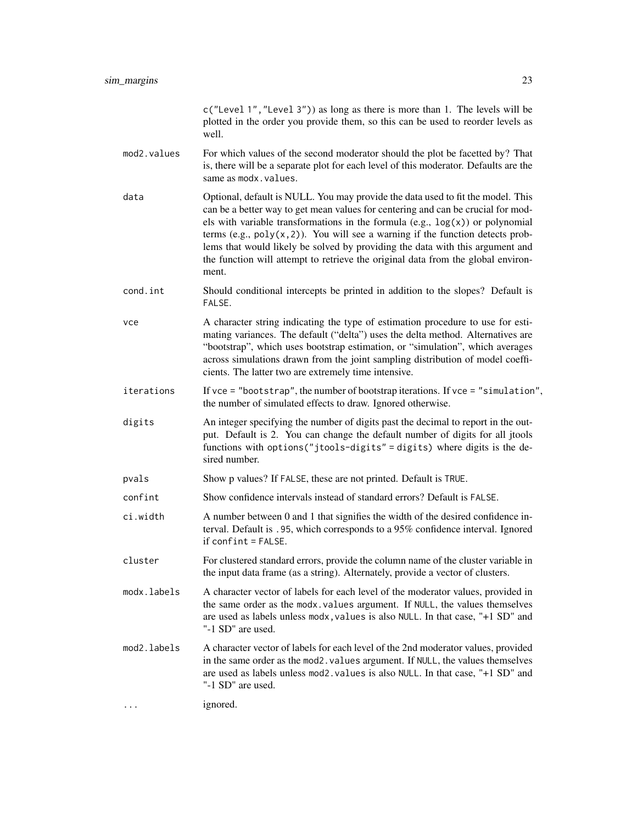|             | c("Level 1", "Level 3")) as long as there is more than 1. The levels will be<br>plotted in the order you provide them, so this can be used to reorder levels as<br>well.                                                                                                                                                                                                                                                                                                                                                   |
|-------------|----------------------------------------------------------------------------------------------------------------------------------------------------------------------------------------------------------------------------------------------------------------------------------------------------------------------------------------------------------------------------------------------------------------------------------------------------------------------------------------------------------------------------|
| mod2.values | For which values of the second moderator should the plot be facetted by? That<br>is, there will be a separate plot for each level of this moderator. Defaults are the<br>same as modx.values.                                                                                                                                                                                                                                                                                                                              |
| data        | Optional, default is NULL. You may provide the data used to fit the model. This<br>can be a better way to get mean values for centering and can be crucial for mod-<br>els with variable transformations in the formula (e.g., $log(x)$ ) or polynomial<br>terms (e.g., $poly(x, 2)$ ). You will see a warning if the function detects prob-<br>lems that would likely be solved by providing the data with this argument and<br>the function will attempt to retrieve the original data from the global environ-<br>ment. |
| cond.int    | Should conditional intercepts be printed in addition to the slopes? Default is<br>FALSE.                                                                                                                                                                                                                                                                                                                                                                                                                                   |
| vce         | A character string indicating the type of estimation procedure to use for esti-<br>mating variances. The default ("delta") uses the delta method. Alternatives are<br>"bootstrap", which uses bootstrap estimation, or "simulation", which averages<br>across simulations drawn from the joint sampling distribution of model coeffi-<br>cients. The latter two are extremely time intensive.                                                                                                                              |
| iterations  | If $vec =$ "bootstrap", the number of bootstrap iterations. If $vec =$ "simulation",<br>the number of simulated effects to draw. Ignored otherwise.                                                                                                                                                                                                                                                                                                                                                                        |
| digits      | An integer specifying the number of digits past the decimal to report in the out-<br>put. Default is 2. You can change the default number of digits for all jtools<br>functions with options ("jtools-digits" = digits) where digits is the de-<br>sired number.                                                                                                                                                                                                                                                           |
| pvals       | Show p values? If FALSE, these are not printed. Default is TRUE.                                                                                                                                                                                                                                                                                                                                                                                                                                                           |
| confint     | Show confidence intervals instead of standard errors? Default is FALSE.                                                                                                                                                                                                                                                                                                                                                                                                                                                    |
| ci.width    | A number between 0 and 1 that signifies the width of the desired confidence in-<br>terval. Default is .95, which corresponds to a 95% confidence interval. Ignored<br>$if conflict = FALSE.$                                                                                                                                                                                                                                                                                                                               |
| cluster     | For clustered standard errors, provide the column name of the cluster variable in<br>the input data frame (as a string). Alternately, provide a vector of clusters.                                                                                                                                                                                                                                                                                                                                                        |
| modx.labels | A character vector of labels for each level of the moderator values, provided in<br>the same order as the modx. values argument. If NULL, the values themselves<br>are used as labels unless modx, values is also NULL. In that case, "+1 SD" and<br>"-1 SD" are used.                                                                                                                                                                                                                                                     |
| mod2.labels | A character vector of labels for each level of the 2nd moderator values, provided<br>in the same order as the mod2. values argument. If NULL, the values themselves<br>are used as labels unless mod2. values is also NULL. In that case, "+1 SD" and<br>"-1 SD" are used.                                                                                                                                                                                                                                                 |
| .           | ignored.                                                                                                                                                                                                                                                                                                                                                                                                                                                                                                                   |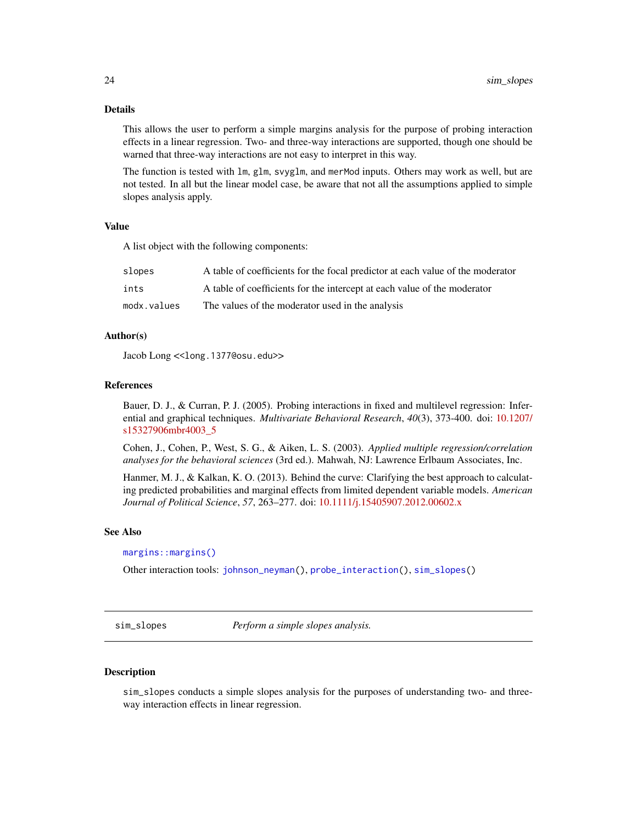<span id="page-23-0"></span>This allows the user to perform a simple margins analysis for the purpose of probing interaction effects in a linear regression. Two- and three-way interactions are supported, though one should be warned that three-way interactions are not easy to interpret in this way.

The function is tested with lm, glm, svyglm, and merMod inputs. Others may work as well, but are not tested. In all but the linear model case, be aware that not all the assumptions applied to simple slopes analysis apply.

# Value

A list object with the following components:

| slopes      | A table of coefficients for the focal predictor at each value of the moderator |
|-------------|--------------------------------------------------------------------------------|
| ints        | A table of coefficients for the intercept at each value of the moderator       |
| modx.values | The values of the moderator used in the analysis                               |

# Author(s)

Jacob Long << long.1377@osu.edu>>

# References

Bauer, D. J., & Curran, P. J. (2005). Probing interactions in fixed and multilevel regression: Inferential and graphical techniques. *Multivariate Behavioral Research*, *40*(3), 373-400. doi: [10.1207/](https://doi.org/10.1207/s15327906mbr4003_5) [s15327906mbr4003\\_5](https://doi.org/10.1207/s15327906mbr4003_5)

Cohen, J., Cohen, P., West, S. G., & Aiken, L. S. (2003). *Applied multiple regression/correlation analyses for the behavioral sciences* (3rd ed.). Mahwah, NJ: Lawrence Erlbaum Associates, Inc.

Hanmer, M. J., & Kalkan, K. O. (2013). Behind the curve: Clarifying the best approach to calculating predicted probabilities and marginal effects from limited dependent variable models. *American Journal of Political Science*, *57*, 263–277. doi: [10.1111/j.15405907.2012.00602.x](https://doi.org/10.1111/j.1540-5907.2012.00602.x)

# See Also

# [margins::margins\(\)](#page-0-0)

Other interaction tools: [johnson\\_neyman\(](#page-15-1)), [probe\\_interaction\(](#page-19-1)), [sim\\_slopes\(](#page-23-1))

<span id="page-23-1"></span>sim\_slopes *Perform a simple slopes analysis.*

#### **Description**

sim\_slopes conducts a simple slopes analysis for the purposes of understanding two- and threeway interaction effects in linear regression.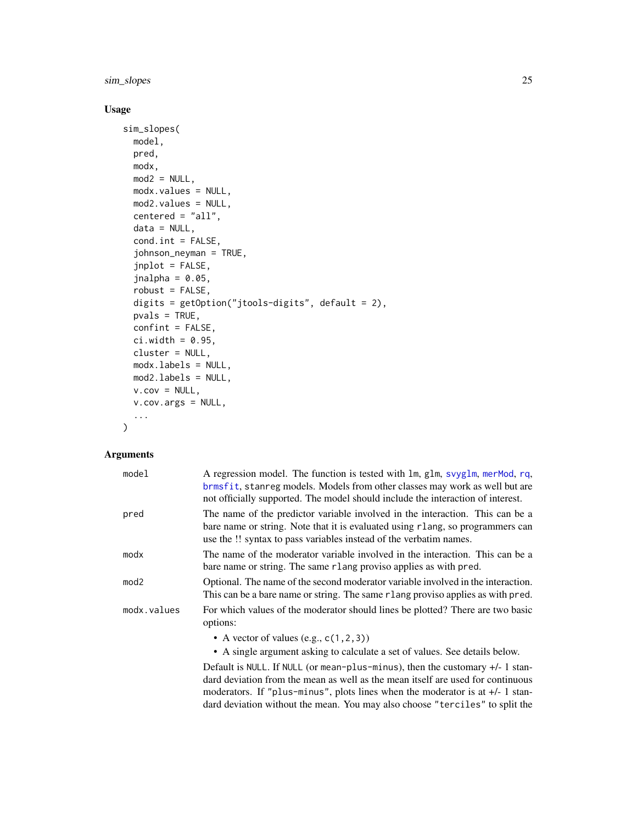<span id="page-24-0"></span>sim\_slopes 25

# Usage

```
sim_slopes(
 model,
 pred,
 modx,
 mod2 = NULL,modx.values = NULL,
 mod2.values = NULL,
  centered = "all",data = NULL,
  cond.int = FALSE,johnson_neyman = TRUE,
  jnplot = FALSE,
  jnalpha = 0.05,robust = FALSE,digits = getOption("jtools-digits", default = 2),
 pvals = TRUE,
 confint = FALSE,
  ci.width = <math>0.95</math>,cluster = NULL,
 modx.labels = NULL,
 mod2.labels = NULL,
 v.cov = NULL,v.cov.args = NULL,
  ...
```
# Arguments

)

| model       | A regression model. The function is tested with lm, glm, svyglm, merMod, rq,<br>brmsfit, stanreg models. Models from other classes may work as well but are<br>not officially supported. The model should include the interaction of interest. |
|-------------|------------------------------------------------------------------------------------------------------------------------------------------------------------------------------------------------------------------------------------------------|
| pred        | The name of the predictor variable involved in the interaction. This can be a<br>bare name or string. Note that it is evaluated using r lang, so programmers can<br>use the !! syntax to pass variables instead of the verbatim names.         |
| modx        | The name of the moderator variable involved in the interaction. This can be a<br>bare name or string. The same rlang proviso applies as with pred.                                                                                             |
| mod2        | Optional. The name of the second moderator variable involved in the interaction.<br>This can be a bare name or string. The same r lang proviso applies as with pred.                                                                           |
| modx.values | For which values of the moderator should lines be plotted? There are two basic<br>options:                                                                                                                                                     |
|             | • A vector of values (e.g., $c(1, 2, 3)$ )<br>• A single argument asking to calculate a set of values. See details below.                                                                                                                      |
|             |                                                                                                                                                                                                                                                |

Default is NULL. If NULL (or mean-plus-minus), then the customary +/- 1 standard deviation from the mean as well as the mean itself are used for continuous moderators. If "plus-minus", plots lines when the moderator is at +/- 1 standard deviation without the mean. You may also choose "terciles" to split the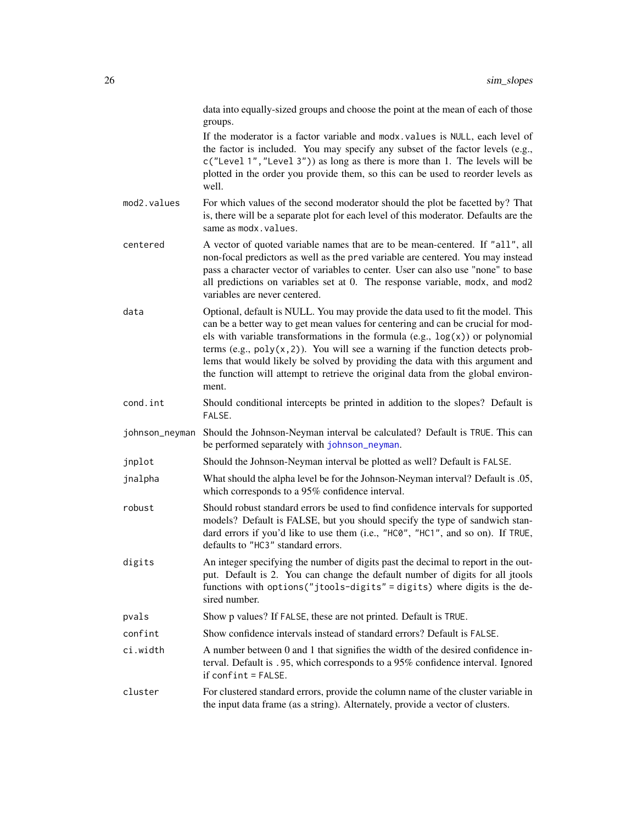<span id="page-25-0"></span>data into equally-sized groups and choose the point at the mean of each of those groups.

If the moderator is a factor variable and modx.values is NULL, each level of the factor is included. You may specify any subset of the factor levels (e.g., c("Level 1","Level 3")) as long as there is more than 1. The levels will be plotted in the order you provide them, so this can be used to reorder levels as well.

- mod2. values For which values of the second moderator should the plot be facetted by? That is, there will be a separate plot for each level of this moderator. Defaults are the same as modx.values.
- centered A vector of quoted variable names that are to be mean-centered. If "all", all non-focal predictors as well as the pred variable are centered. You may instead pass a character vector of variables to center. User can also use "none" to base all predictions on variables set at 0. The response variable, modx, and mod2 variables are never centered.
- data Optional, default is NULL. You may provide the data used to fit the model. This can be a better way to get mean values for centering and can be crucial for models with variable transformations in the formula (e.g.,  $log(x)$ ) or polynomial terms (e.g.,  $poly(x, 2)$ ). You will see a warning if the function detects problems that would likely be solved by providing the data with this argument and the function will attempt to retrieve the original data from the global environment.
- cond.int Should conditional intercepts be printed in addition to the slopes? Default is FALSE.
- johnson\_neyman Should the Johnson-Neyman interval be calculated? Default is TRUE. This can be performed separately with [johnson\\_neyman](#page-15-1).
- jnplot Should the Johnson-Neyman interval be plotted as well? Default is FALSE.
- jnalpha What should the alpha level be for the Johnson-Neyman interval? Default is .05, which corresponds to a 95% confidence interval.
- robust Should robust standard errors be used to find confidence intervals for supported models? Default is FALSE, but you should specify the type of sandwich standard errors if you'd like to use them (i.e., "HC0", "HC1", and so on). If TRUE, defaults to "HC3" standard errors.
- digits An integer specifying the number of digits past the decimal to report in the output. Default is 2. You can change the default number of digits for all jtools functions with options("jtools-digits" = digits) where digits is the desired number.
- pvals Show p values? If FALSE, these are not printed. Default is TRUE.
- confint Show confidence intervals instead of standard errors? Default is FALSE.
- ci.width A number between 0 and 1 that signifies the width of the desired confidence interval. Default is .95, which corresponds to a 95% confidence interval. Ignored if confint = FALSE.
- cluster For clustered standard errors, provide the column name of the cluster variable in the input data frame (as a string). Alternately, provide a vector of clusters.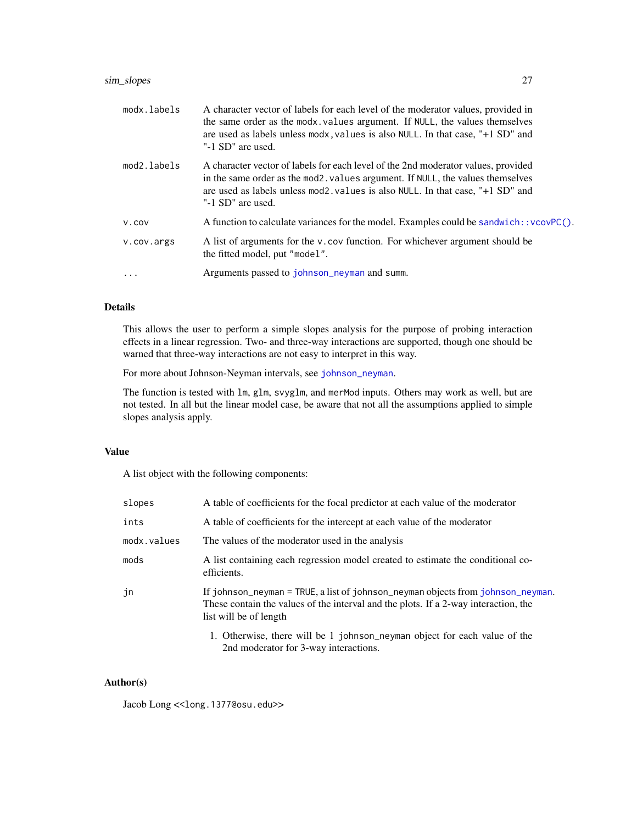# <span id="page-26-0"></span>sim\_slopes 27

| modx.labels | A character vector of labels for each level of the moderator values, provided in<br>the same order as the modx. values argument. If NULL, the values themselves<br>are used as labels unless modx, values is also NULL. In that case, "+1 SD" and<br>"-1 SD" are used.     |
|-------------|----------------------------------------------------------------------------------------------------------------------------------------------------------------------------------------------------------------------------------------------------------------------------|
| mod2.labels | A character vector of labels for each level of the 2nd moderator values, provided<br>in the same order as the mod2, values argument. If NULL, the values themselves<br>are used as labels unless mod2, values is also NULL. In that case, "+1 SD" and<br>"-1 SD" are used. |
| V.COV       | A function to calculate variances for the model. Examples could be sandwich: : $vcovPC()$ .                                                                                                                                                                                |
| v.cov.args  | A list of arguments for the v.cov function. For whichever argument should be<br>the fitted model, put "model".                                                                                                                                                             |
|             | Arguments passed to johnson_neyman and summ.                                                                                                                                                                                                                               |
|             |                                                                                                                                                                                                                                                                            |

#### Details

This allows the user to perform a simple slopes analysis for the purpose of probing interaction effects in a linear regression. Two- and three-way interactions are supported, though one should be warned that three-way interactions are not easy to interpret in this way.

For more about Johnson-Neyman intervals, see [johnson\\_neyman](#page-15-1).

The function is tested with lm, glm, svyglm, and merMod inputs. Others may work as well, but are not tested. In all but the linear model case, be aware that not all the assumptions applied to simple slopes analysis apply.

# Value

A list object with the following components:

| slopes      | A table of coefficients for the focal predictor at each value of the moderator                                                                                                                   |
|-------------|--------------------------------------------------------------------------------------------------------------------------------------------------------------------------------------------------|
| ints        | A table of coefficients for the intercept at each value of the moderator                                                                                                                         |
| modx.values | The values of the moderator used in the analysis                                                                                                                                                 |
| mods        | A list containing each regression model created to estimate the conditional co-<br>efficients.                                                                                                   |
| jn          | If johnson_neyman = TRUE, a list of johnson_neyman objects from johnson_neyman.<br>These contain the values of the interval and the plots. If a 2-way interaction, the<br>list will be of length |
|             | 1. Otherwise, there will be 1 johnson_neyman object for each value of the<br>2nd moderator for 3-way interactions.                                                                               |

# Author(s)

Jacob Long << long.1377@osu.edu>>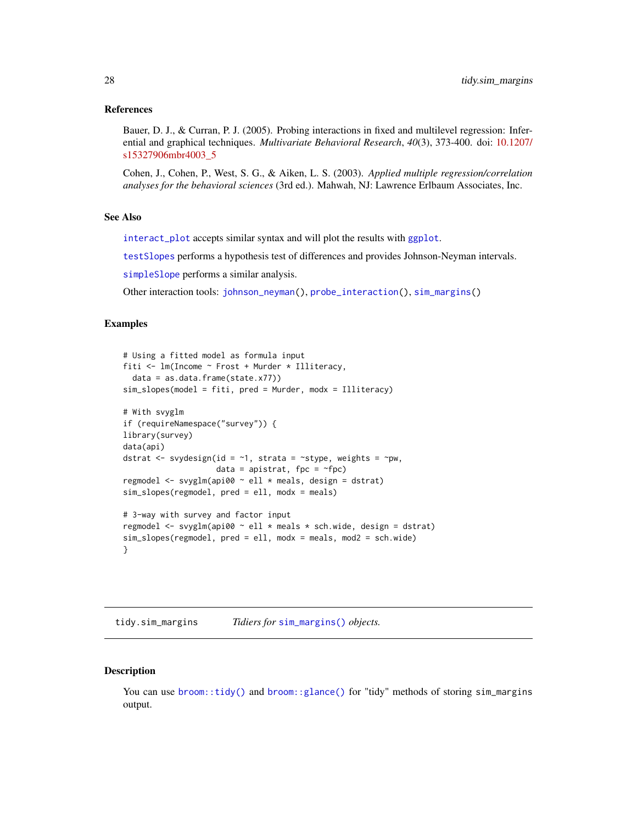#### <span id="page-27-0"></span>References

Bauer, D. J., & Curran, P. J. (2005). Probing interactions in fixed and multilevel regression: Inferential and graphical techniques. *Multivariate Behavioral Research*, *40*(3), 373-400. doi: [10.1207/](https://doi.org/10.1207/s15327906mbr4003_5) [s15327906mbr4003\\_5](https://doi.org/10.1207/s15327906mbr4003_5)

Cohen, J., Cohen, P., West, S. G., & Aiken, L. S. (2003). *Applied multiple regression/correlation analyses for the behavioral sciences* (3rd ed.). Mahwah, NJ: Lawrence Erlbaum Associates, Inc.

# See Also

[interact\\_plot](#page-8-1) accepts similar syntax and will plot the results with [ggplot](#page-0-0).

[testSlopes](#page-0-0) performs a hypothesis test of differences and provides Johnson-Neyman intervals.

[simpleSlope](#page-0-0) performs a similar analysis.

Other interaction tools: [johnson\\_neyman\(](#page-15-1)), [probe\\_interaction\(](#page-19-1)), [sim\\_margins\(](#page-20-1))

#### Examples

```
# Using a fitted model as formula input
fiti <- lm(Income ~ Frost + Murder * Illiteracy,
 data = as.data.frame(state.x77))
sim_slopes(model = fiti, pred = Murder, modx = Illiteracy)
# With svyglm
if (requireNamespace("survey")) {
library(survey)
data(api)
dstrat \leq svydesign(id = \sim1, strata = \simstype, weights = \simpw,
                    data = apistrat, fpc = \gamma fpc)
regmodel <- svyglm(api00 ~ ell * meals, design = dstrat)
sim_slopes(regmodel, pred = ell, modx = meals)
# 3-way with survey and factor input
regmodel <- svyglm(api00 ~ ell * meals * sch.wide, design = dstrat)
sim_slopes(regmodel, pred = ell, modx = meals, mod2 = sch.wide)
}
```
tidy.sim\_margins *Tidiers for* [sim\\_margins\(\)](#page-20-1) *objects.*

# **Description**

You can use [broom::tidy\(\)](#page-0-0) and [broom::glance\(\)](#page-0-0) for "tidy" methods of storing sim\_margins output.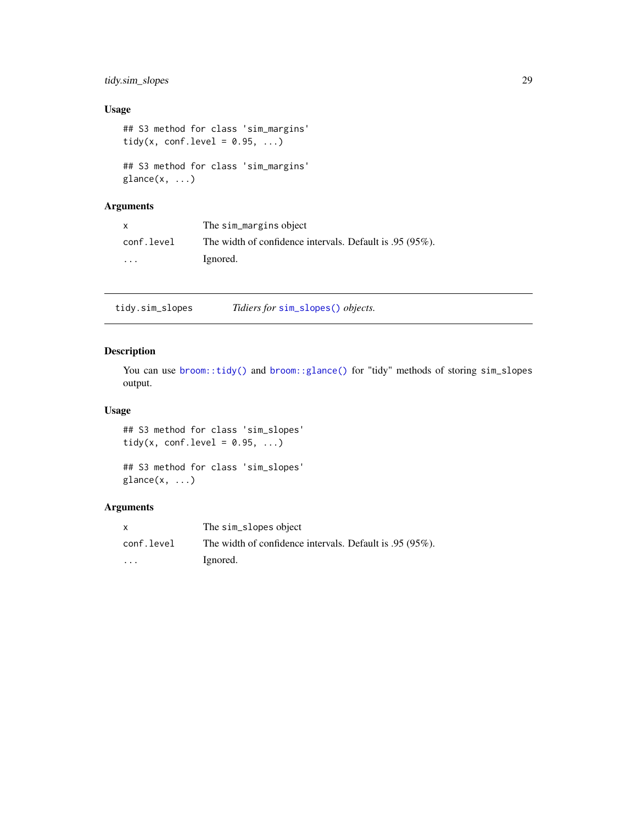# <span id="page-28-0"></span>tidy.sim\_slopes 29

# Usage

```
## S3 method for class 'sim_margins'
tidy(x, conf.level = 0.95, ...)
## S3 method for class 'sim_margins'
glance(x, \ldots)
```
# Arguments

| $\mathsf{x}$            | The sim_margins object                                   |
|-------------------------|----------------------------------------------------------|
| conf.level              | The width of confidence intervals. Default is .95 (95%). |
| $\cdot$ $\cdot$ $\cdot$ | Ignored.                                                 |

tidy.sim\_slopes *Tidiers for* [sim\\_slopes\(\)](#page-23-1) *objects.*

# Description

You can use [broom::tidy\(\)](#page-0-0) and [broom::glance\(\)](#page-0-0) for "tidy" methods of storing sim\_slopes output.

# Usage

## S3 method for class 'sim\_slopes' tidy(x, conf.level =  $0.95, ...$ )

## S3 method for class 'sim\_slopes'  $glance(x, ...)$ 

| X                       | The sim_slopes object                                    |
|-------------------------|----------------------------------------------------------|
| conf.level              | The width of confidence intervals. Default is .95 (95%). |
| $\cdot$ $\cdot$ $\cdot$ | Ignored.                                                 |